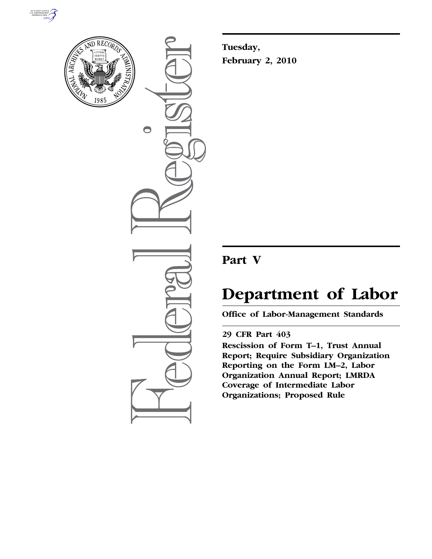



 $\bigcirc$ 

**Tuesday, February 2, 2010** 

## **Part V**

# **Department of Labor**

**Office of Labor-Management Standards** 

### **29 CFR Part 403**

**Rescission of Form T–1, Trust Annual Report; Require Subsidiary Organization Reporting on the Form LM–2, Labor Organization Annual Report; LMRDA Coverage of Intermediate Labor Organizations; Proposed Rule**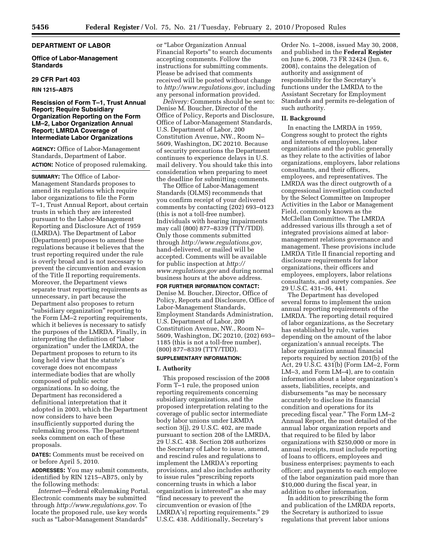#### **DEPARTMENT OF LABOR**

**Office of Labor-Management Standards** 

#### **29 CFR Part 403**

**RIN 1215–AB75** 

#### **Rescission of Form T–1, Trust Annual Report; Require Subsidiary Organization Reporting on the Form LM–2, Labor Organization Annual Report; LMRDA Coverage of Intermediate Labor Organizations**

**AGENCY:** Office of Labor-Management Standards, Department of Labor. **ACTION:** Notice of proposed rulemaking.

**SUMMARY:** The Office of Labor-Management Standards proposes to amend its regulations which require labor organizations to file the Form T–1, Trust Annual Report, about certain trusts in which they are interested pursuant to the Labor-Management Reporting and Disclosure Act of 1959 (LMRDA). The Department of Labor (Department) proposes to amend these regulations because it believes that the trust reporting required under the rule is overly broad and is not necessary to prevent the circumvention and evasion of the Title II reporting requirements. Moreover, the Department views separate trust reporting requirements as unnecessary, in part because the Department also proposes to return ''subsidiary organization'' reporting to the Form LM–2 reporting requirements, which it believes is necessary to satisfy the purposes of the LMRDA. Finally, in interpreting the definition of ''labor organization'' under the LMRDA, the Department proposes to return to its long held view that the statute's coverage does not encompass intermediate bodies that are wholly composed of public sector organizations. In so doing, the Department has reconsidered a definitional interpretation that it adopted in 2003, which the Department now considers to have been insufficiently supported during the rulemaking process. The Department seeks comment on each of these proposals.

**DATES:** Comments must be received on or before April 5, 2010.

**ADDRESSES:** You may submit comments, identified by RIN 1215–AB75, only by the following methods:

*Internet*—Federal eRulemaking Portal. Electronic comments may be submitted through *http://www.regulations.gov.* To locate the proposed rule, use key words such as ''Labor-Management Standards''

or ''Labor Organization Annual Financial Reports'' to search documents accepting comments. Follow the instructions for submitting comments. Please be advised that comments received will be posted without change to *http://www.regulations.gov,* including any personal information provided.

*Delivery:* Comments should be sent to: Denise M. Boucher, Director of the Office of Policy, Reports and Disclosure, Office of Labor-Management Standards, U.S. Department of Labor, 200 Constitution Avenue, NW., Room N– 5609, Washington, DC 20210. Because of security precautions the Department continues to experience delays in U.S. mail delivery. You should take this into consideration when preparing to meet the deadline for submitting comments.

The Office of Labor-Management Standards (OLMS) recommends that you confirm receipt of your delivered comments by contacting (202) 693–0123 (this is not a toll-free number). Individuals with hearing impairments may call (800) 877–8339 (TTY/TDD). Only those comments submitted through *http://www.regulations.gov,*  hand-delivered, or mailed will be accepted. Comments will be available for public inspection at *http:// www.regulations.gov* and during normal business hours at the above address.

#### **FOR FURTHER INFORMATION CONTACT:**  Denise M. Boucher, Director, Office of Policy, Reports and Disclosure, Office of Labor-Management Standards, Employment Standards Administration, U.S. Department of Labor, 200 Constitution Avenue, NW., Room N– 5609, Washington, DC 20210, (202) 693– 1185 (this is not a toll-free number),

#### (800) 877–8339 (TTY/TDD). **SUPPLEMENTARY INFORMATION:**

#### **I. Authority**

This proposed rescission of the 2008 Form T–1 rule, the proposed union reporting requirements concerning subsidiary organizations, and the proposed interpretation relating to the coverage of public sector intermediate body labor unions under LRMDA section 3(j), 29 U.S.C. 402, are made pursuant to section 208 of the LMRDA, 29 U.S.C. 438. Section 208 authorizes the Secretary of Labor to issue, amend, and rescind rules and regulations to implement the LMRDA's reporting provisions, and also includes authority to issue rules ''prescribing reports concerning trusts in which a labor organization is interested'' as she may ''find necessary to prevent the circumvention or evasion of [the LMRDA's] reporting requirements.'' 29 U.S.C. 438. Additionally, Secretary's

Order No. 1–2008, issued May 30, 2008, and published in the **Federal Register**  on June 6, 2008, 73 FR 32424 (Jun. 6, 2008), contains the delegation of authority and assignment of responsibility for the Secretary's functions under the LMRDA to the Assistant Secretary for Employment Standards and permits re-delegation of such authority.

#### **II. Background**

In enacting the LMRDA in 1959, Congress sought to protect the rights and interests of employees, labor organizations and the public generally as they relate to the activities of labor organizations, employers, labor relations consultants, and their officers, employees, and representatives. The LMRDA was the direct outgrowth of a congressional investigation conducted by the Select Committee on Improper Activities in the Labor or Management Field, commonly known as the McClellan Committee. The LMRDA addressed various ills through a set of integrated provisions aimed at labormanagement relations governance and management. These provisions include LMRDA Title II financial reporting and disclosure requirements for labor organizations, their officers and employees, employers, labor relations consultants, and surety companies. *See*  29 U.S.C. 431–36, 441.

The Department has developed several forms to implement the union annual reporting requirements of the LMRDA. The reporting detail required of labor organizations, as the Secretary has established by rule, varies depending on the amount of the labor organization's annual receipts. The labor organization annual financial reports required by section 201(b) of the Act, 29 U.S.C. 431(b) (Form LM–2, Form LM–3, and Form LM–4), are to contain information about a labor organization's assets, liabilities, receipts, and disbursements "as may be necessary accurately to disclose its financial condition and operations for its preceding fiscal year.'' The Form LM–2 Annual Report, the most detailed of the annual labor organization reports and that required to be filed by labor organizations with \$250,000 or more in annual receipts, must include reporting of loans to officers, employees and business enterprises; payments to each officer; and payments to each employee of the labor organization paid more than \$10,000 during the fiscal year, in addition to other information.

In addition to prescribing the form and publication of the LMRDA reports, the Secretary is authorized to issue regulations that prevent labor unions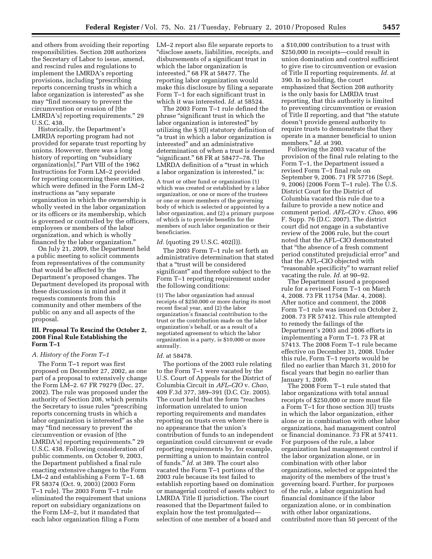and others from avoiding their reporting responsibilities. Section 208 authorizes the Secretary of Labor to issue, amend, and rescind rules and regulations to implement the LMRDA's reporting provisions, including "prescribing reports concerning trusts in which a labor organization is interested'' as she may ''find necessary to prevent the circumvention or evasion of [the LMRDA's] reporting requirements.'' 29 U.S.C. 438.

Historically, the Department's LMRDA reporting program had not provided for separate trust reporting by unions. However, there was a long history of reporting on "subsidiary" organization[s].'' Part VIII of the 1962 Instructions for Form LM–2 provided for reporting concerning these entities, which were defined in the Form LM–2 instructions as "any separate organization in which the ownership is wholly vested in the labor organization or its officers or its membership, which is governed or controlled by the officers, employees or members of the labor organization, and which is wholly financed by the labor organization.''

On July 21, 2009, the Department held a public meeting to solicit comments from representatives of the community that would be affected by the Department's proposed changes. The Department developed its proposal with these discussions in mind and it requests comments from this community and other members of the public on any and all aspects of the proposal.

#### **III. Proposal To Rescind the October 2, 2008 Final Rule Establishing the Form T–1**

#### *A. History of the Form T–1*

The Form T–1 report was first proposed on December 27, 2002, as one part of a proposal to extensively change the Form LM–2. 67 FR 79279 (Dec. 27, 2002). The rule was proposed under the authority of Section 208, which permits the Secretary to issue rules "prescribing reports concerning trusts in which a labor organization is interested'' as she may ''find necessary to prevent the circumvention or evasion of [the LMRDA's] reporting requirements.'' 29 U.S.C. 438. Following consideration of public comments, on October 9, 2003, the Department published a final rule enacting extensive changes to the Form LM–2 and establishing a Form T–1. 68 FR 58374 (Oct. 9, 2003) (2003 Form T–1 rule). The 2003 Form T–1 rule eliminated the requirement that unions report on subsidiary organizations on the Form LM–2, but it mandated that each labor organization filing a Form

LM–2 report also file separate reports to ''disclose assets, liabilities, receipts, and disbursements of a significant trust in which the labor organization is interested.'' 68 FR at 58477. The reporting labor organization would make this disclosure by filing a separate Form T–1 for each significant trust in which it was interested. *Id.* at 58524.

The 2003 Form T–1 rule defined the phrase ''significant trust in which the labor organization is interested'' by utilizing the § 3(l) statutory definition of ''a trust in which a labor organization is interested'' and an administrative determination of when a trust is deemed "significant." 68 FR at 58477-78. The LMRDA definition of a ''trust in which a labor organization is interested," is:

A trust or other fund or organization (1) which was created or established by a labor organization, or one or more of the trustees or one or more members of the governing body of which is selected or appointed by a labor organization, and (2) a primary purpose of which is to provide benefits for the members of such labor organization or their beneficiaries.

#### *Id.* (quoting 29 U.S.C. 402(l)).

The 2003 Form T–1 rule set forth an administrative determination that stated that a ''trust will be considered significant'' and therefore subject to the Form T–1 reporting requirement under the following conditions:

(1) The labor organization had annual receipts of \$250,000 or more during its most recent fiscal year, and (2) the labor organization's financial contribution to the trust or the contribution made on the labor organization's behalf, or as a result of a negotiated agreement to which the labor organization is a party, is \$10,000 or more annually.

#### *Id.* at 58478.

The portions of the 2003 rule relating to the Form T–1 were vacated by the U.S. Court of Appeals for the District of Columbia Circuit in *AFL–CIO* v. *Chao,*  409 F.3d 377, 389–391 (D.C. Cir. 2005). The court held that the form "reaches information unrelated to union reporting requirements and mandates reporting on trusts even where there is no appearance that the union's contribution of funds to an independent organization could circumvent or evade reporting requirements by, for example, permitting a union to maintain control of funds.'' *Id.* at 389. The court also vacated the Form T–1 portions of the 2003 rule because its test failed to establish reporting based on domination or managerial control of assets subject to LMRDA Title II jurisdiction. The court reasoned that the Department failed to explain how the test promulgated selection of one member of a board and

a \$10,000 contribution to a trust with \$250,000 in receipts—could result in union domination and control sufficient to give rise to circumvention or evasion of Title II reporting requirements. *Id.* at 390. In so holding, the court emphasized that Section 208 authority is the only basis for LMRDA trust reporting, that this authority is limited to preventing circumvention or evasion of Title II reporting, and that ''the statute doesn't provide general authority to require trusts to demonstrate that they operate in a manner beneficial to union members.'' *Id.* at 390.

Following the 2003 vacatur of the provision of the final rule relating to the Form T–1, the Department issued a revised Form T–1 final rule on September 9, 2006. 71 FR 57716 (Sept. 9, 2006) (2006 Form T–1 rule). The U.S. District Court for the District of Columbia vacated this rule due to a failure to provide a new notice and comment period. *AFL–CIO* v. *Chao,* 496 F. Supp. 76 (D.C. 2007). The district court did not engage in a substantive review of the 2006 rule, but the court noted that the AFL–CIO demonstrated that ''the absence of a fresh comment period constituted prejudicial error'' and that the AFL–CIO objected with "reasonable specificity" to warrant relief vacating the rule. *Id.* at 90–92.

The Department issued a proposed rule for a revised Form T–1 on March 4, 2008. 73 FR 11754 (Mar. 4, 2008). After notice and comment, the 2008 Form T–1 rule was issued on October 2, 2008. 73 FR 57412. This rule attempted to remedy the failings of the Department's 2003 and 2006 efforts in implementing a Form T–1. 73 FR at 57413. The 2008 Form T–1 rule became effective on December 31, 2008. Under this rule, Form T–1 reports would be filed no earlier than March 31, 2010 for fiscal years that begin no earlier than January 1, 2009.

The 2008 Form T–1 rule stated that labor organizations with total annual receipts of \$250,000 or more must file a Form T–1 for those section 3(l) trusts in which the labor organization, either alone or in combination with other labor organizations, had management control or financial dominance. 73 FR at 57411. For purposes of the rule, a labor organization had management control if the labor organization alone, or in combination with other labor organizations, selected or appointed the majority of the members of the trust's governing board. Further, for purposes of the rule, a labor organization had financial dominance if the labor organization alone, or in combination with other labor organizations, contributed more than 50 percent of the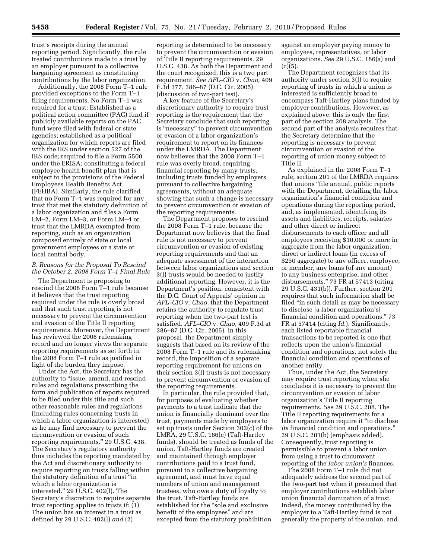trust's receipts during the annual reporting period. Significantly, the rule treated contributions made to a trust by an employer pursuant to a collective bargaining agreement as constituting contributions by the labor organization.

Additionally, the 2008 Form T–1 rule provided exceptions to the Form T–1 filing requirements. No Form T–1 was required for a trust: Established as a political action committee (PAC) fund if publicly available reports on the PAC fund were filed with federal or state agencies; established as a political organization for which reports are filed with the IRS under section 527 of the IRS code; required to file a Form 5500 under the ERISA; constituting a federal employee health benefit plan that is subject to the provisions of the Federal Employees Health Benefits Act (FEHBA). Similarly, the rule clarified that no Form T–1 was required for any trust that met the statutory definition of a labor organization and files a Form LM–2, Form LM–3, or Form LM–4 or trust that the LMRDA exempted from reporting, such as an organization composed entirely of state or local government employees or a state or local central body.

#### *B. Reasons for the Proposal To Rescind the October 2, 2008 Form T–1 Final Rule*

The Department is proposing to rescind the 2008 Form T–1 rule because it believes that the trust reporting required under the rule is overly broad and that such trust reporting is not necessary to prevent the circumvention and evasion of the Title II reporting requirements. Moreover, the Department has reviewed the 2008 rulemaking record and no longer views the separate reporting requirements as set forth in the 2008 Form T–1 rule as justified in light of the burden they impose.

Under the Act, the Secretary has the authority to ''issue, amend, and rescind rules and regulations prescribing the form and publication of reports required to be filed under this title and such other reasonable rules and regulations (including rules concerning trusts in which a labor organization is interested) as he may find necessary to prevent the circumvention or evasion of such reporting requirements.'' 29 U.S.C. 438. The Secretary's regulatory authority thus includes the reporting mandated by the Act and discretionary authority to require reporting on trusts falling within the statutory definition of a trust ''in which a labor organization is interested.'' 29 U.S.C. 402(l). The Secretary's discretion to require separate trust reporting applies to trusts if: (1) The union has an interest in a trust as defined by 29 U.S.C. 402(l) *and* (2)

reporting is determined to be necessary to prevent the circumvention or evasion of Title II reporting requirements. 29 U.S.C. 438. As both the Department and the court recognized, this is a two part requirement. *See AFL–CIO* v. *Chao,* 409 F.3d 377, 386–87 (D.C. Cir. 2005) (discussion of two-part test).

A key feature of the Secretary's discretionary authority to require trust reporting is the requirement that the Secretary conclude that such reporting is ''necessary'' to prevent circumvention or evasion of a labor organization's requirement to report on its finances under the LMRDA. The Department now believes that the 2008 Form T–1 rule was overly broad, requiring financial reporting by many trusts, including trusts funded by employers pursuant to collective bargaining agreements, without an adequate showing that such a change is necessary to prevent circumvention or evasion of the reporting requirements.

The Department proposes to rescind the 2008 Form T–1 rule, because the Department now believes that the final rule is not necessary to prevent circumvention or evasion of existing reporting requirements and that an adequate assessment of the interaction between labor organizations and section 3(l) trusts would be needed to justify additional reporting. However, it is the Department's position, consistent with the D.C. Court of Appeals' opinion in *AFL–CIO* v. *Chao,* that the Department retains the authority to regulate trust reporting when the two-part test is satisfied. *AFL–CIO* v. *Chao,* 409 F.3d at 386–87 (D.C. Cir. 2005). In this proposal, the Department simply suggests that based on its review of the 2008 Form T–1 rule and its rulemaking record, the imposition of a separate reporting requirement for unions on their section 3(l) trusts is not necessary to prevent circumvention or evasion of the reporting requirements.

In particular, the rule provided that, for purposes of evaluating whether payments to a trust indicate that the union is financially dominant over the trust, payments made by employers to set up trusts under Section 302(c) of the LMRA, 29 U.S.C. 186(c) (Taft-Hartley funds), should be treated as funds of the union. Taft-Hartley funds are created and maintained through employer contributions paid to a trust fund, pursuant to a collective bargaining agreement, and must have equal numbers of union and management trustees, who owe a duty of loyalty to the trust. Taft-Hartley funds are established for the ''sole and exclusive benefit of the employees'' and are excepted from the statutory prohibition

against an employer paying money to employees, representatives, or labor organizations. *See* 29 U.S.C. 186(a) and  $(c)(5)$ .

The Department recognizes that its authority under section 3(l) to require reporting of trusts in which a union is interested is sufficiently broad to encompass Taft-Hartley plans funded by employer contributions. However, as explained above, this is only the first part of the section 208 analysis. The second part of the analysis requires that the Secretary determine that the reporting is necessary to prevent circumvention or evasion of the reporting of union money subject to Title II.

As explained in the 2008 Form T–1 rule, section 201 of the LMRDA requires that unions ''file annual, public reports with the Department, detailing the labor organization's financial condition and operations during the reporting period, and, as implemented, identifying its assets and liabilities, receipts, salaries and other direct or indirect disbursements to each officer and all employees receiving \$10,000 or more in aggregate from the labor organization, direct or indirect loans (in excess of \$250 aggregate) to any officer, employee, or member, any loans (of any amount) to any business enterprise, and other disbursements.'' 73 FR at 57413 (citing 29 U.S.C. 431(b)). Further, section 201 requires that such information shall be filed ''in such detail as may be necessary to disclose [a labor organization's] financial condition and operations.'' 73 FR at 57414 (citing *Id.*). Significantly, each listed reportable financial transactions to be reported is one that reflects upon the union's financial condition and operations, not solely the financial condition and operations of another entity.

Thus, under the Act, the Secretary may require trust reporting when she concludes it is necessary to prevent the circumvention or evasion of labor organization's Title II reporting requirements. *See* 29 U.S.C. 208. The Title II reporting requirements for a labor organization require it ''to disclose *its* financial condition and operations.'' 29 U.S.C. 201(b) (emphasis added). Consequently, trust reporting is permissible to prevent a labor union from using a trust to circumvent reporting of the *labor union's* finances.

The 2008 Form T–1 rule did not adequately address the second part of the two-part test when it presumed that employer contributions establish labor union financial domination of a trust. Indeed, the money contributed by the employer to a Taft-Hartley fund is not generally the property of the union, and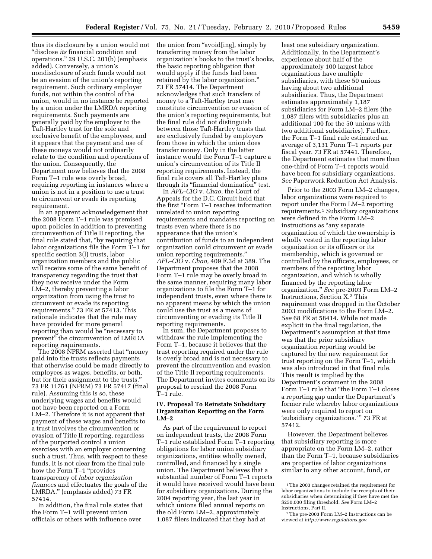thus its disclosure by a union would not ''disclose *its* financial condition and operations.'' 29 U.S.C. 201(b) (emphasis added). Conversely, a union's nondisclosure of such funds would not be an evasion of the union's reporting requirement. Such ordinary employer funds, not within the control of the union, would in no instance be reported by a union under the LMRDA reporting requirements. Such payments are generally paid by the employer to the Taft-Hartley trust for the sole and exclusive benefit of the employees, and it appears that the payment and use of these moneys would not ordinarily relate to the condition and operations of the union. Consequently, the Department now believes that the 2008 Form T–1 rule was overly broad, requiring reporting in instances where a union is not in a position to use a trust to circumvent or evade its reporting requirement.

In an apparent acknowledgement that the 2008 Form T–1 rule was premised upon policies in addition to preventing circumvention of Title II reporting, the final rule stated that, ''by requiring that labor organizations file the Form T–1 for specific section 3(l) trusts, labor organization members and the public will receive some of the same benefit of transparency regarding the trust that they now receive under the Form LM–2, thereby preventing a labor organization from using the trust to circumvent or evade its reporting requirements.'' 73 FR at 57413. This rationale indicates that the rule may have provided for more general reporting than would be ''necessary to prevent'' the circumvention of LMRDA reporting requirements.

The 2008 NPRM asserted that ''money paid into the trusts reflects payments that otherwise could be made directly to employees as wages, benefits, or both, but for their assignment to the trusts.'' 73 FR 11761 (NPRM) 73 FR 57417 (final rule). Assuming this is so, these underlying wages and benefits would not have been reported on a Form LM–2. Therefore it is not apparent that payment of these wages and benefits to a trust involves the circumvention or evasion of Title II reporting, regardless of the purported control a union exercises with an employer concerning such a trust. Thus, with respect to these funds, it is not clear from the final rule how the Form T–1 "provides transparency of *labor organization finances* and effectuates the goals of the LMRDA.'' (emphasis added) 73 FR 57414.

In addition, the final rule states that the Form T–1 will prevent union officials or others with influence over

the union from "avoid[ing], simply by transferring money from the labor organization's books to the trust's books, the basic reporting obligation that would apply if the funds had been retained by the labor organization.'' 73 FR 57414. The Department acknowledges that such transfers of money to a Taft-Hartley trust may constitute circumvention or evasion of the union's reporting requirements, but the final rule did not distinguish between those Taft-Hartley trusts that are exclusively funded by employers from those in which the union does transfer money. Only in the latter instance would the Form T–1 capture a union's circumvention of its Title II reporting requirements. Instead, the final rule covers all Taft-Hartley plans through its ''financial domination'' test.

In *AFL–CIO* v. *Chao,* the Court of Appeals for the D.C. Circuit held that the first "Form T-1 reaches information unrelated to union reporting requirements and mandates reporting on trusts even where there is no appearance that the union's contribution of funds to an independent organization could circumvent or evade union reporting requirements.'' *AFL–CIO* v. *Chao,* 409 F.3d at 389. The Department proposes that the 2008 Form T–1 rule may be overly broad in the same manner, requiring many labor organizations to file the Form T–1 for independent trusts, even where there is no apparent means by which the union could use the trust as a means of circumventing or evading its Title II reporting requirements.

In sum, the Department proposes to withdraw the rule implementing the Form T–1, because it believes that the trust reporting required under the rule is overly broad and is not necessary to prevent the circumvention and evasion of the Title II reporting requirements. The Department invites comments on its proposal to rescind the 2008 Form T–1 rule.

#### **IV. Proposal To Reinstate Subsidiary Organization Reporting on the Form LM–2**

As part of the requirement to report on independent trusts, the 2008 Form T–1 rule established Form T–1 reporting obligations for labor union subsidiary organizations, entities wholly owned, controlled, and financed by a single union. The Department believes that a substantial number of Form T–1 reports it would have received would have been for subsidiary organizations. During the 2004 reporting year, the last year in which unions filed annual reports on the old Form LM–2, approximately 1,087 filers indicated that they had at

least one subsidiary organization. Additionally, in the Department's experience about half of the approximately 100 largest labor organizations have multiple subsidiaries, with these 50 unions having about two additional subsidiaries. Thus, the Department estimates approximately 1,187 subsidiaries for Form LM–2 filers (the 1,087 filers with subsidiaries plus an additional 100 for the 50 unions with two additional subsidiaries). Further, the Form T–1 final rule estimated an average of 3,131 Form T–1 reports per fiscal year. 73 FR at 57441. Therefore, the Department estimates that more than one-third of Form T–1 reports would have been for subsidiary organizations. *See* Paperwork Reduction Act Analysis.

Prior to the 2003 Form LM–2 changes, labor organizations were required to report under the Form LM–2 reporting requirements.1 Subsidiary organizations were defined in the Form LM–2 instructions as "any separate" organization of which the ownership is wholly vested in the reporting labor organization or its officers or its membership, which is governed or controlled by the officers, employees, or members of the reporting labor organization, and which is wholly financed by the reporting labor organization.'' *See* pre-2003 Form LM–2 Instructions, Section X.2 This requirement was dropped in the October 2003 modifications to the Form LM–2. *See* 68 FR at 58414. While not made explicit in the final regulation, the Department's assumption at that time was that the prior subsidiary organization reporting would be captured by the new requirement for trust reporting on the Form T–1, which was also introduced in that final rule. This result is implied by the Department's comment in the 2008 Form T–1 rule that ''the Form T–1 closes a reporting gap under the Department's former rule whereby labor organizations were only required to report on 'subsidiary organizations.'" 73 FR at 57412.

However, the Department believes that subsidiary reporting is more appropriate on the Form LM–2, rather than the Form T–1, because subsidiaries are properties of labor organizations similar to any other account, fund, or

 $^{\rm 1}\!$  The 2003 changes retained the requirement for labor organizations to include the receipts of their subsidiaries when determining if they have met the \$250,000 filing threshold. *See* Form LM–2 Instructions, Part II.

<sup>2</sup>The pre-2003 Form LM–2 Instructions can be viewed at *http://www.regulations.gov*.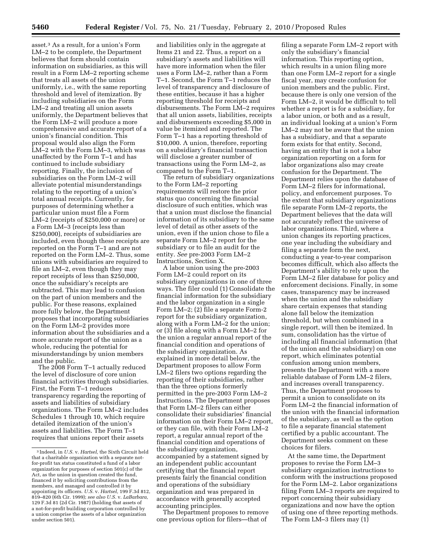asset.3 As a result, for a union's Form LM–2 to be complete, the Department believes that form should contain information on subsidiaries, as this will result in a Form LM–2 reporting scheme that treats all assets of the union uniformly, i.e., with the same reporting threshold and level of itemization. By including subsidiaries on the Form LM–2 and treating all union assets uniformly, the Department believes that the Form LM–2 will produce a more comprehensive and accurate report of a union's financial condition. This proposal would also align the Form LM–2 with the Form LM–3, which was unaffected by the Form T–1 and has continued to include subsidiary reporting. Finally, the inclusion of subsidiaries on the Form LM–2 will alleviate potential misunderstandings relating to the reporting of a union's total annual receipts. Currently, for purposes of determining whether a particular union must file a Form LM–2 (receipts of \$250,000 or more) or a Form LM–3 (receipts less than \$250,000), receipts of subsidiaries are included, even though these receipts are reported on the Form T–1 and are not reported on the Form LM–2. Thus, some unions with subsidiaries are required to file an LM–2, even though they may report receipts of less than \$250,000, once the subsidiary's receipts are subtracted. This may lead to confusion on the part of union members and the public. For these reasons, explained more fully below, the Department proposes that incorporating subsidiaries on the Form LM–2 provides more information about the subsidiaries and a more accurate report of the union as a whole, reducing the potential for misunderstandings by union members and the public.

The 2008 Form T–1 actually reduced the level of disclosure of core union financial activities through subsidiaries. First, the Form T–1 reduces transparency regarding the reporting of assets and liabilities of subsidiary organizations. The Form LM–2 includes Schedules 1 through 10, which require detailed itemization of the union's assets and liabilities. The Form T–1 requires that unions report their assets

and liabilities only in the aggregate at Items 21 and 22. Thus, a report on a subsidiary's assets and liabilities will have more information when the filer uses a Form LM–2, rather than a Form T–1. Second, the Form T–1 reduces the level of transparency and disclosure of these entities, because it has a higher reporting threshold for receipts and disbursements. The Form LM–2 requires that all union assets, liabilities, receipts and disbursements exceeding \$5,000 in value be itemized and reported. The Form T–1 has a reporting threshold of \$10,000. A union, therefore, reporting on a subsidiary's financial transaction will disclose a greater number of transactions using the Form LM–2, as compared to the Form T–1.

The return of subsidiary organizations to the Form LM–2 reporting requirements will restore the prior status quo concerning the financial disclosure of such entities, which was that a union must disclose the financial information of its subsidiary to the same level of detail as other assets of the union, even if the union chose to file a separate Form LM–2 report for the subsidiary or to file an audit for the entity. *See* pre-2003 Form LM–2 Instructions, Section X.

A labor union using the pre-2003 Form LM–2 could report on its subsidiary organizations in one of three ways. The filer could (1) Consolidate the financial information for the subsidiary and the labor organization in a single Form LM–2; (2) file a separate Form-2 report for the subsidiary organization, along with a Form LM–2 for the union; or (3) file along with a Form LM–2 for the union a regular annual report of the financial condition and operations of the subsidiary organization. As explained in more detail below, the Department proposes to allow Form LM–2 filers two options regarding the reporting of their subsidiaries, rather than the three options formerly permitted in the pre-2003 Form LM–2 Instructions. The Department proposes that Form LM–2 filers can either consolidate their subsidiaries' financial information on their Form LM–2 report, or they can file, with their Form LM–2 report, a regular annual report of the financial condition and operations of the subsidiary organization, accompanied by a statement signed by an independent public accountant certifying that the financial report presents fairly the financial condition and operations of the subsidiary organization and was prepared in accordance with generally accepted accounting principles.

The Department proposes to remove one previous option for filers—that of

filing a separate Form LM–2 report with only the subsidiary's financial information. This reporting option, which results in a union filing more than one Form LM–2 report for a single fiscal year, may create confusion for union members and the public. First, because there is only one version of the Form LM–2, it would be difficult to tell whether a report is for a subsidiary, for a labor union, or both and as a result, an individual looking at a union's Form LM–2 may not be aware that the union has a subsidiary, and that a separate form exists for that entity. Second, having an entity that is not a labor organization reporting on a form for labor organizations also may create confusion for the Department. The Department relies upon the database of Form LM–2 filers for informational, policy, and enforcement purposes. To the extent that subsidiary organizations file separate Form LM–2 reports, the Department believes that the data will not accurately reflect the universe of labor organizations. Third, where a union changes its reporting practices, one year including the subsidiary and filing a separate form the next, conducting a year-to-year comparison becomes difficult, which also affects the Department's ability to rely upon the Form LM–2 filer database for policy and enforcement decisions. Finally, in some cases, transparency may be increased when the union and the subsidiary share certain expenses that standing alone fall below the itemization threshold, but when combined in a single report, will then be itemized. In sum, consolidation has the virtue of including all financial information (that of the union and the subsidiary) on one report, which eliminates potential confusion among union members, presents the Department with a more reliable database of Form LM–2 filers, and increases overall transparency. Thus, the Department proposes to permit a union to consolidate on its Form LM–2 the financial information of the union with the financial information of the subsidiary, as well as the option to file a separate financial statement certified by a public accountant. The Department seeks comment on these choices for filers.

At the same time, the Department proposes to revise the Form LM–3 subsidiary organization instructions to conform with the instructions proposed for the Form LM–2. Labor organizations filing Form LM–3 reports are required to report concerning their subsidiary organizations and now have the option of using one of three reporting methods. The Form LM–3 filers may (1)

<sup>3</sup> Indeed, in *U.S.* v. *Hartsel,* the Sixth Circuit held that a charitable organization with a separate notfor-profit tax status constituted a fund of a labor organization for purposes of section 501(c) of the Act, as the union in question created the fund, financed it by soliciting contributions from the members, and managed and controlled it by appointing its officers. *U.S.* v. *Hartsel,* 199 F.3d 812, 819–820 (6th Cir. 1999); *see also U.S.* v. *LaBarbara,*  129 F.3d 81 (2d Cir. 1987) (holding that assets of a not-for-profit building corporation controlled by a union comprise the assets of a labor organization under section 501).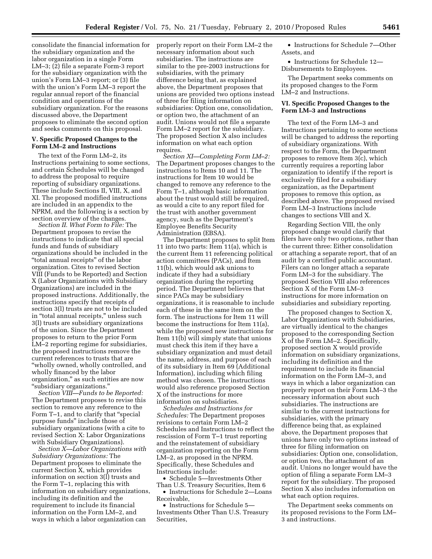consolidate the financial information for the subsidiary organization and the labor organization in a single Form LM–3; (2) file a separate Form-3 report for the subsidiary organization with the union's Form LM–3 report; or (3) file with the union's Form LM–3 report the regular annual report of the financial condition and operations of the subsidiary organization. For the reasons discussed above, the Department proposes to eliminate the second option and seeks comments on this proposal.

#### **V. Specific Proposed Changes to the Form LM–2 and Instructions**

The text of the Form LM–2, its Instructions pertaining to some sections, and certain Schedules will be changed to address the proposal to require reporting of subsidiary organizations. These include Sections II, VIII, X, and XI. The proposed modified instructions are included in an appendix to the NPRM, and the following is a section by section overview of the changes.

*Section II. What Form to File:* The Department proposes to revise the instructions to indicate that all special funds and funds of subsidiary organizations should be included in the ''total annual receipts'' of the labor organization. Cites to revised Section VIII (Funds to be Reported) and Section X (Labor Organizations with Subsidiary Organizations) are included in the proposed instructions. Additionally, the instructions specify that receipts of section 3(l) trusts are not to be included in ''total annual receipts,'' unless such 3(l) trusts are subsidiary organizations of the union. Since the Department proposes to return to the prior Form LM–2 reporting regime for subsidiaries, the proposed instructions remove the current references to trusts that are ''wholly owned, wholly controlled, and wholly financed by the labor organization,'' as such entities are now ''subsidiary organizations.''

*Section VIII—Funds to be Reported:*  The Department proposes to revise this section to remove any reference to the Form T-1, and to clarify that "special purpose funds'' include those of subsidiary organizations (with a cite to revised Section X: Labor Organizations with Subsidiary Organizations).

*Section X—Labor Organizations with Subsidiary Organizations:* The Department proposes to eliminate the current Section X, which provides information on section 3(l) trusts and the Form T–1, replacing this with information on subsidiary organizations, including its definition and the requirement to include its financial information on the Form LM–2, and ways in which a labor organization can

properly report on their Form LM–2 the necessary information about such subsidiaries. The instructions are similar to the pre-2003 instructions for subsidiaries, with the primary difference being that, as explained above, the Department proposes that unions are provided two options instead of three for filing information on subsidiaries: Option one, consolidation, or option two, the attachment of an audit. Unions would not file a separate Form LM–2 report for the subsidiary. The proposed Section X also includes information on what each option requires.

*Section XI—Completing Form LM–2:*  The Department proposes changes to the instructions to Items 10 and 11. The instructions for Item 10 would be changed to remove any reference to the Form T–1, although basic information about the trust would still be required, as would a cite to any report filed for the trust with another government agency, such as the Department's Employee Benefits Security Administration (EBSA).

The Department proposes to split Item 11 into two parts: Item 11(a), which is the current Item 11 referencing political action committees (PACs), and Item 11(b), which would ask unions to indicate if they had a subsidiary organization during the reporting period. The Department believes that since PACs may be subsidiary organizations, it is reasonable to include each of these in the same item on the form. The instructions for Item 11 will become the instructions for Item 11(a), while the proposed new instructions for Item 11(b) will simply state that unions must check this item if they have a subsidiary organization and must detail the name, address, and purpose of each of its subsidiary in Item 69 (Additional Information), including which filing method was chosen. The instructions would also reference proposed Section X of the instructions for more information on subsidiaries.

*Schedules and Instructions for Schedules:* The Department proposes revisions to certain Form LM–2 Schedules and Instructions to reflect the rescission of Form T–1 trust reporting and the reinstatement of subsidiary organization reporting on the Form LM–2, as proposed in the NPRM. Specifically, these Schedules and Instructions include:

• Schedule 5—Investments Other Than U.S. Treasury Securities, Item 6

• Instructions for Schedule 2—Loans Receivable,

• Instructions for Schedule 5— Investments Other Than U.S. Treasury Securities,

• Instructions for Schedule 7—Other Assets, and

• Instructions for Schedule 12— Disbursements to Employees.

The Department seeks comments on its proposed changes to the Form LM–2 and Instructions.

#### **VI. Specific Proposed Changes to the Form LM–3 and Instructions**

The text of the Form LM–3 and Instructions pertaining to some sections will be changed to address the reporting of subsidiary organizations. With respect to the Form, the Department proposes to remove Item 3(c), which currently requires a reporting labor organization to identify if the report is exclusively filed for a subsidiary organization, as the Department proposes to remove this option, as described above. The proposed revised Form LM–3 Instructions include changes to sections VIII and X.

Regarding Section VIII, the only proposed change would clarify that filers have only two options, rather than the current three: Either consolidation or attaching a separate report, that of an audit by a certified public accountant. Filers can no longer attach a separate Form LM–3 for the subsidiary. The proposed Section VIII also references Section X of the Form LM–3 instructions for more information on subsidiaries and subsidiary reporting.

The proposed changes to Section X, Labor Organizations with Subsidiaries, are virtually identical to the changes proposed to the corresponding Section X of the Form LM–2. Specifically, proposed section X would provide information on subsidiary organizations, including its definition and the requirement to include its financial information on the Form LM–3, and ways in which a labor organization can properly report on their Form LM–3 the necessary information about such subsidiaries. The instructions are similar to the current instructions for subsidiaries, with the primary difference being that, as explained above, the Department proposes that unions have only two options instead of three for filing information on subsidiaries: Option one, consolidation, or option two, the attachment of an audit. Unions no longer would have the option of filing a separate Form LM–3 report for the subsidiary. The proposed Section X also includes information on what each option requires.

The Department seeks comments on its proposed revisions to the Form LM– 3 and instructions.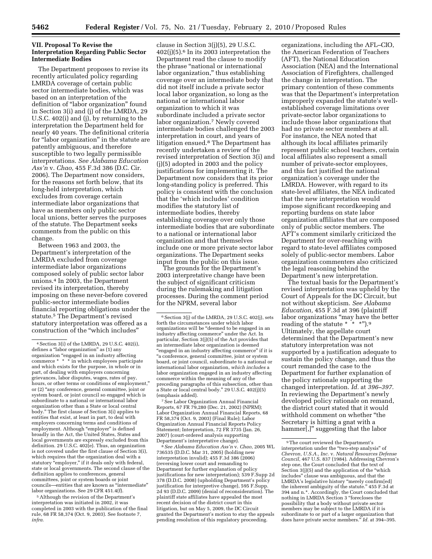#### **VII. Proposal To Revise the Interpretation Regarding Public Sector Intermediate Bodies**

The Department proposes to revise its recently articulated policy regarding LMRDA coverage of certain public sector intermediate bodies, which was based on an interpretation of the definition of "labor organization" found in Section 3(i) and (j) of the LMRDA, 29 U.S.C. 402(i) and (j), by returning to the interpretation the Department held for nearly 40 years. The definitional criteria for "labor organization" in the statute are patently ambiguous, and therefore susceptible to two legally permissible interpretations. *See Alabama Education Ass'n* v. *Chao,* 455 F.3d 386 (D.C. Cir. 2006). The Department now considers, for the reasons set forth below, that its long-held interpretation, which excludes from coverage certain intermediate labor organizations that have as members only public sector local unions, better serves the purposes of the statute. The Department seeks comments from the public on this change.

Between 1963 and 2003, the Department's interpretation of the LMRDA excluded from coverage intermediate labor organizations composed solely of public sector labor unions.4 In 2003, the Department revised its interpretation, thereby imposing on these never-before covered public-sector intermediate bodies financial reporting obligations under the statute.5 The Department's revised statutory interpretation was offered as a construction of the ''which includes''

5Although the revision of the Department's interpretation was initiated in 2002, it was completed in 2003 with the publication of the final rule, 68 FR 58,374 (Oct. 9, 2003). See footnote 7, *infra.* 

clause in Section 3(j)(5), 29 U.S.C. 402(j)(5).6 In its 2003 interpretation the Department read the clause to modify the phrase ''national or international labor organization,'' thus establishing coverage over an intermediate body that did not itself include a private sector local labor organization, so long as the national or international labor organization to which it was subordinate included a private sector labor organization.7 Newly covered intermediate bodies challenged the 2003 interpretation in court, and years of litigation ensued.8 The Department has recently undertaken a review of the revised interpretation of Section 3(i) and (j)(5) adopted in 2003 and the policy justifications for implementing it. The Department now considers that its prior long-standing policy is preferred. This policy is consistent with the conclusion that the 'which includes' condition modifies the statutory list of intermediate bodies, thereby establishing coverage over only those intermediate bodies that are subordinate to a national or international labor organization and that themselves include one or more private sector labor organizations. The Department seeks input from the public on this issue.

The grounds for the Department's 2003 interpretative change have been the subject of significant criticism during the rulemaking and litigation processes. During the comment period for the NPRM, several labor

7See Labor Organization Annual Financial Reports, 67 FR 79,280 (Dec. 21, 2002) (NPRM); Labor Organization Annual Financial Reports, 68 FR 58,374 (Oct. 9, 2003) (Final Rule); Labor Organization Annual Financial Reports Policy Statement; Interpretation, 72 FR 3735 (Jan. 26, 2007) (court-ordered analysis supporting Department's interpretative change).

8*See Alabama Education Ass'n* v. *Chao,* 2005 WL 736535 (D.D.C. Mar 31, 2005) (holding new interpretation invalid); 455 F.3d 386 (2006) (reversing lower court and remanding to Department for further explanation of policy justifications for new interpretation); 539 F.Supp 2d 378 (D.D.C. 2008) (upholding Department's policy justification for interpretive change), 595 F.Supp. 2d 93 (D.D.C. 2009) (denial of reconsideration). The plaintiff state affiliates have appealed the most recent decision of the district court in this litigation, but on May 5, 2009, the DC Circuit granted the Department's motion to stay the appeals pending resolution of this regulatory proceeding.

organizations, including the AFL–CIO, the American Federation of Teachers (AFT), the National Education Association (NEA) and the International Association of Firefighters, challenged the change in interpretation. The primary contention of these comments was that the Department's interpretation improperly expanded the statute's wellestablished coverage limitations over private-sector labor organizations to include those labor organizations that had no private sector members at all. For instance, the NEA noted that although its local affiliates primarily represent public school teachers, certain local affiliates also represent a small number of private-sector employees, and this fact justified the national organization's coverage under the LMRDA. However, with regard to its state-level affiliates, the NEA indicated that the new interpretation would impose significant recordkeeping and reporting burdens on state labor organization affiliates that are composed only of public sector members. The AFT's comment similarly criticized the Department for over-reaching with regard to state-level affiliates composed solely of public-sector members. Labor organization commenters also criticized the legal reasoning behind the Department's new interpretation.

The textual basis for the Department's revised interpretation was upheld by the Court of Appeals for the DC Circuit, but not without skepticism. *See Alabama Education,* 455 F.3d at 396 (plaintiff labor organizations ''may have the better reading of the statute \* \* \*").<sup>9</sup> Ultimately, the appellate court determined that the Department's new statutory interpretation was not supported by a justification adequate to sustain the policy change, and thus the court remanded the case to the Department for further explanation of the policy rationale supporting the changed interpretation. *Id.* at *396–397.*  In reviewing the Department's newly developed policy rationale on remand, the district court stated that it would withhold comment on whether ''the Secretary is hitting a gnat with a hammer[,]'' suggesting that the labor

<sup>4</sup>Section 3(i) of the LMRDA, 29 U.S.C. 402(i), defines a "labor organization" as (1) any organization ''engaged in an industry affecting commerce \* \* \* in which employees participate and which exists for the purpose, in whole or in part, of dealing with employers concerning grievances, labor disputes, wages, rates of pay, hours, or other terms or conditions of employment,'' or (2) ''any conference, general committee, joint or system board, or joint council so engaged which is subordinate to a national or international labor organization other than a State or local central body.'' The first clause of Section 3(i) applies to entities that exist, at least in part, to deal with employers concerning terms and conditions of employment. Although "employer" is defined broadly in the Act, the United States, States and local governments are expressly excluded from this definition. 29 U.S.C. 402(e). Thus, an organization is not covered under the first clause of Section 3(i), which requires that the organization deal with a statutory "employer," if it deals only with federal, state or local governments. The second clause of the definition applies to conferences, general committees, joint or system boards or joint councils—entities that are known as ''intermediate'' labor organizations. See 29 CFR 451.4(f).

<sup>6</sup>Section 3(j) of the LMRDA, 29 U.S.C. 402(j), sets forth the circumstances under which labor organizations will be ''deemed to be engaged in an industry affecting commerce'' under the Act. In particular, Section 3(j)(5) of the Act provides that an intermediate labor organization is deemed ''engaged in an industry affecting commerce'' if it is ''a conference, general committee, joint or system board, or joint council, subordinate to a national or international labor organization, *which includes* a labor organization engaged in an industry affecting commerce within the meaning of any of the preceding paragraphs of this subsection, other than a State or local central body.'' 29 U.S.C. 402(j)(5) (emphasis added).

<sup>9</sup>The court reviewed the Department's interpretation under the ''two-step analysis'' of *Chevron, U.S.A., Inc.* v. *Natural Resources Defense Council,* 467 U.S. 837 (1984). Addressing Chevron's step one, the Court concluded that the text of Section 3(j)(5) and the application of the ''which includes'' clause was ambiguous, and that the LMRDA's legislative history "merely confirm[ed] the inherent ambiguity of the statute.'' 455 F.3d at 394 and n.\*. Accordingly, the Court concluded that nothing in LMRDA Section 3 ''forecloses the possibility that a body without private sector members may be subject to the LMRDA if it is subordinate to or part of a larger organization that does have private sector members.'' *Id.* at 394–395.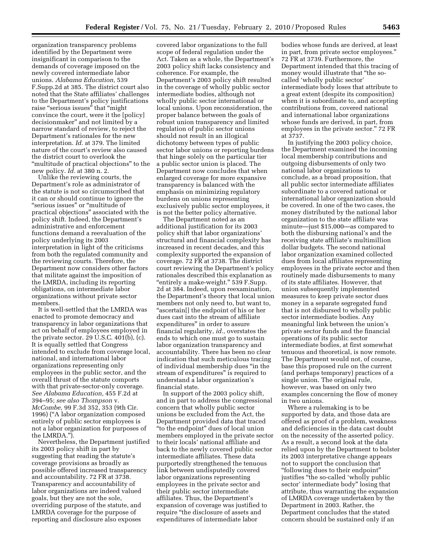organization transparency problems identified by the Department were insignificant in comparison to the demands of coverage imposed on the newly covered intermediate labor unions. *Alabama Education,* 539 F.Supp.2d at 385. The district court also noted that the State affiliates' challenges to the Department's policy justifications raise "serious issues" that "might convince the court, were it the [policy] decisionmaker'' and not limited by a narrow standard of review, to reject the Department's rationales for the new interpretation. *Id.* at 379. The limited nature of the court's review also caused the district court to overlook the ''multitude of practical objections'' to the new policy. *Id.* at 380 n. 2.

Unlike the reviewing courts, the Department's role as administrator of the statute is not so circumscribed that it can or should continue to ignore the "serious issues" or "multitude of practical objections'' associated with the policy shift. Indeed, the Department's administrative and enforcement functions demand a reevaluation of the policy underlying its 2003 interpretation in light of the criticisms from both the regulated community and the reviewing courts. Therefore, the Department now considers other factors that militate against the imposition of the LMRDA, including its reporting obligations, on intermediate labor organizations without private sector members.

It is well-settled that the LMRDA was enacted to promote democracy and transparency in labor organizations that act on behalf of employees employed in the private sector. 29 U.S.C. 401(b), (c). It is equally settled that Congress intended to exclude from coverage local, national, and international labor organizations representing only employees in the public sector, and the overall thrust of the statute comports with that private-sector-only coverage. *See Alabama Education,* 455 F.2d at 394–95; *see also Thompson* v. *McCombe,* 99 F.3d 352, 353 (9th Cir. 1996) (''A labor organization composed entirely of public sector employees is not a labor organization for purposes of the LMRDA.'').

Nevertheless, the Department justified its 2003 policy shift in part by suggesting that reading the statute's coverage provisions as broadly as possible offered increased transparency and accountability. 72 FR at 3738. Transparency and accountability of labor organizations are indeed valued goals, but they are not the sole, overriding purpose of the statute, and LMRDA coverage for the purpose of reporting and disclosure also exposes

covered labor organizations to the full scope of federal regulation under the Act. Taken as a whole, the Department's 2003 policy shift lacks consistency and coherence. For example, the Department's 2003 policy shift resulted in the coverage of wholly public sector intermediate bodies, although not wholly public sector international or local unions. Upon reconsideration, the proper balance between the goals of robust union transparency and limited regulation of public sector unions should not result in an illogical dichotomy between types of public sector labor unions or reporting burdens that hinge solely on the particular tier a public sector union is placed. The Department now concludes that when enlarged coverage for more expansive transparency is balanced with the emphasis on minimizing regulatory burdens on unions representing exclusively public sector employees, it is not the better policy alternative.

The Department noted as an additional justification for its 2003 policy shift that labor organizations' structural and financial complexity has increased in recent decades, and this complexity supported the expansion of coverage. 72 FR at 3738. The district court reviewing the Department's policy rationales described this explanation as "entirely a make-weight." 539 F.Supp. 2d at 384. Indeed, upon reexamination, the Department's theory that local union members not only need to, but want to, ''ascertain[] the endpoint of his or her dues cast into the stream of affiliate expenditures'' in order to assure financial regularity, *id.,* overstates the ends to which one must go to sustain labor organization transparency and accountability. There has been no clear indication that such meticulous tracing of individual membership dues ''in the stream of expenditures'' is required to understand a labor organization's financial state.

In support of the 2003 policy shift, and in part to address the congressional concern that wholly public sector unions be excluded from the Act, the Department provided data that traced ''to the endpoint'' dues of local union members employed in the private sector to their locals' national affiliate and back to the newly covered public sector intermediate affiliates. These data purportedly strengthened the tenuous link between undisputedly covered labor organizations representing employees in the private sector and their public sector intermediate affiliates. Thus, the Department's expansion of coverage was justified to require ''the disclosure of assets and expenditures of intermediate labor

bodies whose funds are derived, at least in part, from private sector employees.'' 72 FR at 3739. Furthermore, the Department intended that this tracing of money would illustrate that ''the socalled 'wholly public sector' intermediate body loses that attribute to a great extent (despite its composition) when it is subordinate to, and accepting contributions from, covered national and international labor organizations whose funds are derived, in part, from employees in the private sector.'' 72 FR at 3737.

In justifying the 2003 policy choice, the Department examined the incoming local membership contributions and outgoing disbursements of only two national labor organizations to conclude, as a broad proposition, that all public sector intermediate affiliates subordinate to a covered national or international labor organization should be covered. In one of the two cases, the money distributed by the national labor organization to the state affiliate was minute—just \$15,000—as compared to both the disbursing national's and the receiving state affiliate's multimillion dollar budgets. The second national labor organization examined collected dues from local affiliates representing employees in the private sector and then routinely made disbursements to many of its state affiliates. However, that union subsequently implemented measures to keep private sector dues money in a separate segregated fund that is not disbursed to wholly public sector intermediate bodies. Any meaningful link between the union's private sector funds and the financial operations of its public sector intermediate bodies, at first somewhat tenuous and theoretical, is now remote. The Department would not, of course, base this proposed rule on the current (and perhaps temporary) practices of a single union. The original rule, however, was based on only two examples concerning the flow of money in two unions.

Where a rulemaking is to be supported by data, and those data are offered as proof of a problem, weakness and deficiencies in the data cast doubt on the necessity of the asserted policy. As a result, a second look at the data relied upon by the Department to bolster its 2003 interpretative change appears not to support the conclusion that ''following dues to their endpoint'' justifies "the so-called 'wholly public sector' intermediate body'' losing that attribute, thus warranting the expansion of LMRDA coverage undertaken by the Department in 2003. Rather, the Department concludes that the stated concern should be sustained only if an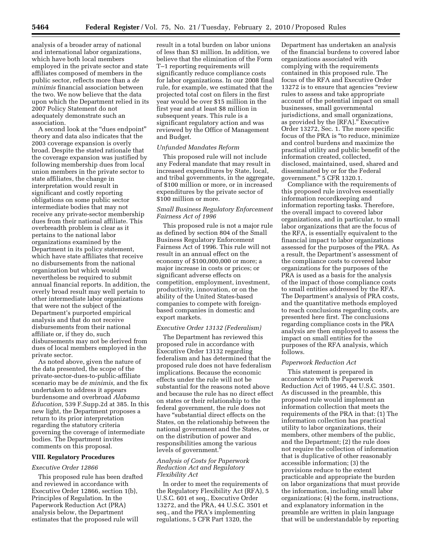analysis of a broader array of national and international labor organizations, which have both local members employed in the private sector and state affiliates composed of members in the public sector, reflects more than a *de minimis* financial association between the two. We now believe that the data upon which the Department relied in its 2007 Policy Statement do not adequately demonstrate such an association.

A second look at the ''dues endpoint'' theory and data also indicates that the 2003 coverage expansion is overly broad. Despite the stated rationale that the coverage expansion was justified by following membership dues from local union members in the private sector to state affiliates, the change in interpretation would result in significant and costly reporting obligations on some public sector intermediate bodies that may not receive any private-sector membership dues from their national affiliate. This overbreadth problem is clear as it pertains to the national labor organizations examined by the Department in its policy statement, which have state affiliates that receive no disbursements from the national organization but which would nevertheless be required to submit annual financial reports. In addition, the overly broad result may well pertain to other intermediate labor organizations that were not the subject of the Department's purported empirical analysis and that do not receive disbursements from their national affiliate or, if they do, such disbursements may not be derived from dues of local members employed in the private sector.

As noted above, given the nature of the data presented, the scope of the private-sector-dues-to-public-affiliate scenario may be *de minimis,* and the fix undertaken to address it appears burdensome and overbroad *Alabama Education,* 539 F.Supp.2d at 385. In this new light, the Department proposes a return to its prior interpretation regarding the statutory criteria governing the coverage of intermediate bodies. The Department invites comments on this proposal.

#### **VIII. Regulatory Procedures**

#### *Executive Order 12866*

This proposed rule has been drafted and reviewed in accordance with Executive Order 12866, section 1(b), Principles of Regulation. In the Paperwork Reduction Act (PRA) analysis below, the Department estimates that the proposed rule will

result in a total burden on labor unions of less than \$3 million. In addition, we believe that the elimination of the Form T–1 reporting requirements will significantly reduce compliance costs for labor organizations. In our 2008 final rule, for example, we estimated that the projected total cost on filers in the first year would be over \$15 million in the first year and at least \$8 million in subsequent years. This rule is a significant regulatory action and was reviewed by the Office of Management and Budget.

#### *Unfunded Mandates Reform*

This proposed rule will not include any Federal mandate that may result in increased expenditures by State, local, and tribal governments, in the aggregate, of \$100 million or more, or in increased expenditures by the private sector of \$100 million or more.

#### *Small Business Regulatory Enforcement Fairness Act of 1996*

This proposed rule is not a major rule as defined by section 804 of the Small Business Regulatory Enforcement Fairness Act of 1996. This rule will not result in an annual effect on the economy of \$100,000,000 or more; a major increase in costs or prices; or significant adverse effects on competition, employment, investment, productivity, innovation, or on the ability of the United States-based companies to compete with foreignbased companies in domestic and export markets.

#### *Executive Order 13132 (Federalism)*

The Department has reviewed this proposed rule in accordance with Executive Order 13132 regarding federalism and has determined that the proposed rule does not have federalism implications. Because the economic effects under the rule will not be substantial for the reasons noted above and because the rule has no direct effect on states or their relationship to the federal government, the rule does not have "substantial direct effects on the States, on the relationship between the national government and the States, or on the distribution of power and responsibilities among the various levels of government.''

#### *Analysis of Costs for Paperwork Reduction Act and Regulatory Flexibility Act*

In order to meet the requirements of the Regulatory Flexibility Act (RFA), 5 U.S.C. 601 et seq., Executive Order 13272, and the PRA, 44 U.S.C. 3501 et seq., and the PRA's implementing regulations, 5 CFR Part 1320, the

Department has undertaken an analysis of the financial burdens to covered labor organizations associated with complying with the requirements contained in this proposed rule. The focus of the RFA and Executive Order 13272 is to ensure that agencies "review" rules to assess and take appropriate account of the potential impact on small businesses, small governmental jurisdictions, and small organizations, as provided by the [RFA].'' Executive Order 13272, Sec. 1. The more specific focus of the PRA is ''to reduce, minimize and control burdens and maximize the practical utility and public benefit of the information created, collected, disclosed, maintained, used, shared and disseminated by or for the Federal government.'' 5 CFR 1320.1.

Compliance with the requirements of this proposed rule involves essentially information recordkeeping and information reporting tasks. Therefore, the overall impact to covered labor organizations, and in particular, to small labor organizations that are the focus of the RFA, is essentially equivalent to the financial impact to labor organizations assessed for the purposes of the PRA. As a result, the Department's assessment of the compliance costs to covered labor organizations for the purposes of the PRA is used as a basis for the analysis of the impact of those compliance costs to small entities addressed by the RFA. The Department's analysis of PRA costs, and the quantitative methods employed to reach conclusions regarding costs, are presented here first. The conclusions regarding compliance costs in the PRA analysis are then employed to assess the impact on small entities for the purposes of the RFA analysis, which follows.

#### *Paperwork Reduction Act*

This statement is prepared in accordance with the Paperwork Reduction Act of 1995, 44 U.S.C. 3501. As discussed in the preamble, this proposed rule would implement an information collection that meets the requirements of the PRA in that: (1) The information collection has practical utility to labor organizations, their members, other members of the public, and the Department; (2) the rule does not require the collection of information that is duplicative of other reasonably accessible information; (3) the provisions reduce to the extent practicable and appropriate the burden on labor organizations that must provide the information, including small labor organizations; (4) the form, instructions, and explanatory information in the preamble are written in plain language that will be understandable by reporting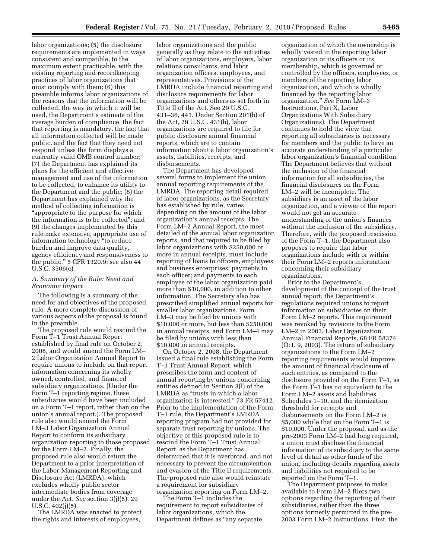labor organizations; (5) the disclosure requirements are implemented in ways consistent and compatible, to the maximum extent practicable, with the existing reporting and recordkeeping practices of labor organizations that must comply with them; (6) this preamble informs labor organizations of the reasons that the information will be collected, the way in which it will be used, the Department's estimate of the average burden of compliance, the fact that reporting is mandatory, the fact that all information collected will be made public, and the fact that they need not respond unless the form displays a currently valid OMB control number; (7) the Department has explained its plans for the efficient and effective management and use of the information to be collected, to enhance its utility to the Department and the public; (8) the Department has explained why the method of collecting information is ''appropriate to the purpose for which the information is to be collected''; and (9) the changes implemented by this rule make extensive, appropriate use of information technology ''to reduce burden and improve data quality, agency efficiency and responsiveness to the public.'' 5 CFR 1320.9; see also 44 U.S.C. 3506(c).

#### *A. Summary of the Rule: Need and Economic Impact*

The following is a summary of the need for and objectives of the proposed rule. A more complete discussion of various aspects of the proposal is found in the preamble.

The proposed rule would rescind the Form T–1 Trust Annual Report established by final rule on October 2, 2008, and would amend the Form LM– 2 Labor Organization Annual Report to require unions to include on that report information concerning its wholly owned, controlled, and financed subsidiary organizations. (Under the Form T–1 reporting regime, these subsidiaries would have been included on a Form T–1 report, rather than on the union's annual report.). The proposed rule also would amend the Form LM–3 Labor Organization Annual Report to conform its subsidiary organization reporting to those proposed for the Form LM–2. Finally, the proposed rule also would return the Department to a prior interpretation of the Labor-Management Reporting and Disclosure Act (LMRDA), which excludes wholly public sector intermediate bodies from coverage under the Act. *See* section 3(j)(5), 29 U.S.C. 402(j)(5).

The LMRDA was enacted to protect the rights and interests of employees,

labor organizations and the public generally as they relate to the activities of labor organizations, employers, labor relations consultants, and labor organization officers, employees, and representatives. Provisions of the LMRDA include financial reporting and disclosure requirements for labor organizations and others as set forth in Title II of the Act. See 29 U.S.C. 431–36, 441. Under Section 201(b) of the Act, 29 U.S.C. 431(b), labor organizations are required to file for public disclosure annual financial reports, which are to contain information about a labor organization's assets, liabilities, receipts, and disbursements.

The Department has developed several forms to implement the union annual reporting requirements of the LMRDA. The reporting detail required of labor organizations, as the Secretary has established by rule, varies depending on the amount of the labor organization's annual receipts. The Form LM–2 Annual Report, the most detailed of the annual labor organization reports, and that required to be filed by labor organizations with \$250,000 or more in annual receipts, must include reporting of loans to officers, employees and business enterprises; payments to each officer; and payments to each employee of the labor organization paid more than \$10,000, in addition to other information. The Secretary also has prescribed simplified annual reports for smaller labor organizations. Form LM–3 may be filed by unions with \$10,000 or more, but less than \$250,000 in annual receipts, and Form LM–4 may be filed by unions with less than \$10,000 in annual receipts.

On October 2, 2008, the Department issued a final rule establishing the Form T–1 Trust Annual Report, which prescribes the form and content of annual reporting by unions concerning entities defined in Section 3(l) of the LMRDA as ''trusts in which a labor organization is interested.'' 73 FR 57412. Prior to the implementation of the Form T–1 rule, the Department's LMRDA reporting program had not provided for separate trust reporting by unions. The objective of this proposed rule is to rescind the Form T–1 Trust Annual Report, as the Department has determined that it is overbroad, and not necessary to prevent the circumvention and evasion of the Title II requirements. The proposed rule also would reinstate a requirement for subsidiary organization reporting on Form LM–2.

The Form T–1 includes the requirement to report subsidiaries of labor organizations, which the Department defines as ''any separate

organization of which the ownership is wholly vested in the reporting labor organization or its officers or its membership, which is governed or controlled by the officers, employees, or members of the reporting labor organization, and which is wholly financed by the reporting labor organization.'' *See* Form LM–3 Instructions, Part X, Labor Organizations With Subsidiary Organizations). The Department continues to hold the view that reporting all subsidiaries is necessary for members and the public to have an accurate understanding of a particular labor organization's financial condition. The Department believes that without the inclusion of the financial information for all subsidiaries, the financial disclosures on the Form LM–2 will be incomplete. The subsidiary is an asset of the labor organization, and a viewer of the report would not get an accurate understanding of the union's finances without the inclusion of the subsidiary. Therefore, with the proposed rescission of the Form T–1, the Department also proposes to require that labor organizations include with or within their Form LM–2 reports information concerning their subsidiary organizations.

Prior to the Department's development of the concept of the trust annual report, the Department's regulations required unions to report information on subsidiaries on their Form LM–2 reports. This requirement was revoked by revisions to the Form LM–2 in 2003. Labor Organization Annual Financial Reports, 68 FR 58374 (Oct. 9, 2003). The return of subsidiary organizations to the Form LM–2 reporting requirements would improve the amount of financial disclosure of such entities, as compared to the disclosure provided on the Form T–1, as the Form T–1 has no equivalent to the Form LM–2 assets and liabilities Schedules 1–10, and the itemization threshold for receipts and disbursements on the Form LM–2 is \$5,000 while that on the Form T–1 is \$10,000. Under the proposal, and as the pre-2003 Form LM–2 had long required, a union must disclose the financial information of its subsidiary to the same level of detail as other funds of the union, including details regarding assets and liabilities not required to be reported on the Form T–1.

The Department proposes to make available to Form LM–2 filers two options regarding the reporting of their subsidiaries, rather than the three options formerly permitted in the pre-2003 Form LM–2 Instructions. First, the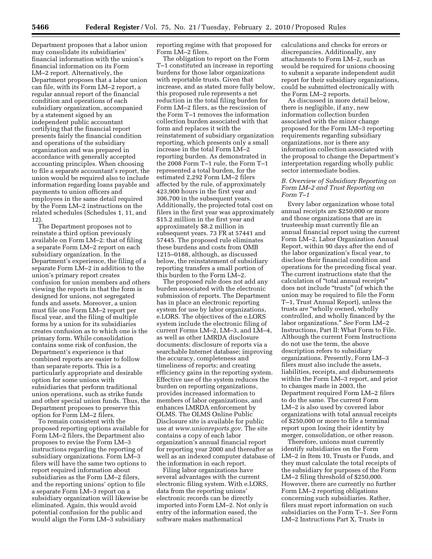Department proposes that a labor union may consolidate its subsidiaries' financial information with the union's financial information on its Form LM–2 report. Alternatively, the Department proposes that a labor union can file, with its Form LM–2 report, a regular annual report of the financial condition and operations of each subsidiary organization, accompanied by a statement signed by an independent public accountant certifying that the financial report presents fairly the financial condition and operations of the subsidiary organization and was prepared in accordance with generally accepted accounting principles. When choosing to file a separate accountant's report, the union would be required also to include information regarding loans payable and payments to union officers and employees in the same detail required by the Form LM–2 instructions on the related schedules (Schedules 1, 11, and 12).

The Department proposes not to reinstate a third option previously available on Form LM–2: that of filing a separate Form LM–2 report on each subsidiary organization. In the Department's experience, the filing of a separate Form LM–2 in addition to the union's primary report creates confusion for union members and others viewing the reports in that the form is designed for unions, not segregated funds and assets. Moreover, a union must file one Form LM–2 report per fiscal year, and the filing of multiple forms by a union for its subsidiaries creates confusion as to which one is the primary form. While consolidation contains some risk of confusion, the Department's experience is that combined reports are easier to follow than separate reports. This is a particularly appropriate and desirable option for some unions with subsidiaries that perform traditional union operations, such as strike funds and other special union funds. Thus, the Department proposes to preserve this option for Form LM–2 filers.

To remain consistent with the proposed reporting options available for Form LM–2 filers, the Department also proposes to revise the Form LM–3 instructions regarding the reporting of subsidiary organizations. Form LM–3 filers will have the same two options to report required information about subsidiaries as the Form LM–2 filers, and the reporting unions' option to file a separate Form LM–3 report on a subsidiary organization will likewise be eliminated. Again, this would avoid potential confusion for the public and would align the Form LM–3 subsidiary

reporting regime with that proposed for Form LM–2 filers.

The obligation to report on the Form T–1 constituted an increase in reporting burdens for those labor organizations with reportable trusts. Given that increase, and as stated more fully below, this proposed rule represents a net reduction in the total filing burden for Form LM–2 filers, as the rescission of the Form T–1 removes the information collection burden associated with that form and replaces it with the reinstatement of subsidiary organization reporting, which presents only a small increase in the total Form LM–2 reporting burden. As demonstrated in the 2008 Form T–1 rule, the Form T–1 represented a total burden, for the estimated 2,292 Form LM–2 filers affected by the rule, of approximately 423,900 hours in the first year and 306,700 in the subsequent years. Additionally, the projected total cost on filers in the first year was approximately \$15.2 million in the first year and approximately \$8.2 million in subsequent years. 73 FR at 57441 and 57445. The proposed rule eliminates these burdens and costs from OMB 1215–0188, although, as discussed below, the reinstatement of subsidiary reporting transfers a small portion of this burden to the Form LM–2.

The proposed rule does not add any burden associated with the electronic submission of reports. The Department has in place an electronic reporting system for use by labor organizations, e.LORS. The objectives of the e.LORS system include the electronic filing of current Forms LM–2, LM–3, and LM–4, as well as other LMRDA disclosure documents; disclosure of reports via a searchable Internet database; improving the accuracy, completeness and timeliness of reports; and creating efficiency gains in the reporting system. Effective use of the system reduces the burden on reporting organizations, provides increased information to members of labor organizations, and enhances LMRDA enforcement by OLMS. The OLMS Online Public Disclosure site is available for public use at *www.unionreports.gov*. The site contains a copy of each labor organization's annual financial report for reporting year 2000 and thereafter as well as an indexed computer database of the information in each report.

Filing labor organizations have several advantages with the current electronic filing system. With e.LORS, data from the reporting unions' electronic records can be directly imported into Form LM–2. Not only is entry of the information eased, the software makes mathematical

calculations and checks for errors or discrepancies. Additionally, any attachments to Form LM–2, such as would be required for unions choosing to submit a separate independent audit report for their subsidiary organizations, could be submitted electronically with the Form LM–2 reports.

As discussed in more detail below, there is negligible, if any, new information collection burden associated with the minor change proposed for the Form LM–3 reporting requirements regarding subsidiary organizations, nor is there any information collection associated with the proposal to change the Department's interpretation regarding wholly public sector intermediate bodies.

#### *B. Overview of Subsidiary Reporting on Form LM–2 and Trust Reporting on Form T–1*

Every labor organization whose total annual receipts are \$250,000 or more and those organizations that are in trusteeship must currently file an annual financial report using the current Form LM–2, Labor Organization Annual Report, within 90 days after the end of the labor organization's fiscal year, to disclose their financial condition and operations for the preceding fiscal year. The current instructions state that the calculation of ''total annual receipts'' does not include ''trusts'' (of which the union may be required to file the Form T–1, Trust Annual Report), unless the trusts are ''wholly owned, wholly controlled, and wholly financed by the labor organizations.'' *See* Form LM–2 Instructions, Part II: What Form to File. Although the current Form Instructions do not use the term, the above description refers to subsidiary organizations. Presently, Form LM–3 filers must also include the assets, liabilities, receipts, and disbursements within the Form LM–3 report, and prior to changes made in 2003, the Department required Form LM–2 filers to do the same. The current Form LM–2 is also used by covered labor organizations with total annual receipts of \$250,000 or more to file a terminal report upon losing their identity by merger, consolidation, or other reason.

Therefore, unions must currently identify subsidiaries on the Form LM–2 in Item 10, Trusts or Funds, and they must calculate the total receipts of the subsidiary for purposes of the Form LM–2 filing threshold of \$250,000. However, there are currently no further Form LM–2 reporting obligations concerning such subsidiaries. Rather, filers must report information on such subsidiaries on the Form T–1. *See* Form LM–2 Instructions Part X, Trusts in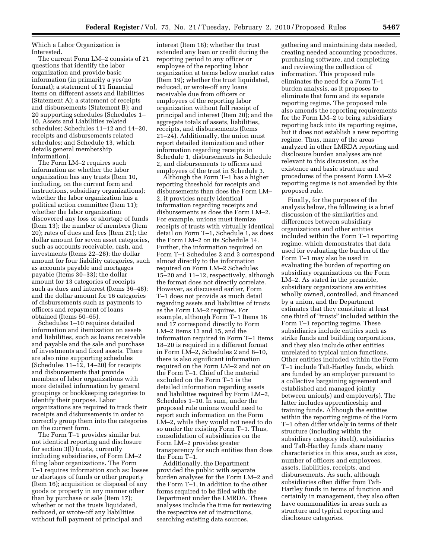Which a Labor Organization is Interested.

The current Form LM–2 consists of 21 questions that identify the labor organization and provide basic information (in primarily a yes/no format); a statement of 11 financial items on different assets and liabilities (Statement A); a statement of receipts and disbursements (Statement B); and 20 supporting schedules (Schedules 1– 10, Assets and Liabilities related schedules; Schedules 11–12 and 14–20, receipts and disbursements related schedules; and Schedule 13, which details general membership information).

The Form LM–2 requires such information as: whether the labor organization has any trusts (Item 10, including, on the current form and instructions, subsidiary organizations); whether the labor organization has a political action committee (Item 11); whether the labor organization discovered any loss or shortage of funds (Item 13); the number of members (Item 20); rates of dues and fees (Item 21); the dollar amount for seven asset categories, such as accounts receivable, cash, and investments (Items 22–28); the dollar amount for four liability categories, such as accounts payable and mortgages payable (Items 30–33); the dollar amount for 13 categories of receipts such as dues and interest (Items 36–48); and the dollar amount for 16 categories of disbursements such as payments to officers and repayment of loans obtained (Items 50–65).

Schedules 1–10 requires detailed information and itemization on assets and liabilities, such as loans receivable and payable and the sale and purchase of investments and fixed assets. There are also nine supporting schedules (Schedules 11–12, 14–20) for receipts and disbursements that provide members of labor organizations with more detailed information by general groupings or bookkeeping categories to identify their purpose. Labor organizations are required to track their receipts and disbursements in order to correctly group them into the categories on the current form.

The Form T–1 provides similar but not identical reporting and disclosure for section 3(l) trusts, currently including subsidiaries, of Form LM–2 filing labor organizations. The Form T–1 requires information such as: losses or shortages of funds or other property (Item 16); acquisition or disposal of any goods or property in any manner other than by purchase or sale (Item 17); whether or not the trusts liquidated, reduced, or wrote-off any liabilities without full payment of principal and

interest (Item 18); whether the trust extended any loan or credit during the reporting period to any officer or employee of the reporting labor organization at terms below market rates (Item 19); whether the trust liquidated, reduced, or wrote-off any loans receivable due from officers or employees of the reporting labor organization without full receipt of principal and interest (Item 20); and the aggregate totals of assets, liabilities, receipts, and disbursements (Items 21–24). Additionally, the union must report detailed itemization and other information regarding receipts in Schedule 1, disbursements in Schedule 2, and disbursements to officers and employees of the trust in Schedule 3.

Although the Form T–1 has a higher reporting threshold for receipts and disbursements than does the Form LM– 2, it provides nearly identical information regarding receipts and disbursements as does the Form LM–2. For example, unions must itemize receipts of trusts with virtually identical detail on Form T–1, Schedule 1, as does the Form LM–2 on its Schedule 14. Further, the information required on Form T–1 Schedules 2 and 3 correspond almost directly to the information required on Form LM–2 Schedules 15–20 and 11–12, respectively, although the format does not directly correlate. However, as discussed earlier, Form T–1 does not provide as much detail regarding assets and liabilities of trusts as the Form LM–2 requires. For example, although Form T–1 Items 16 and 17 correspond directly to Form LM–2 Items 13 and 15, and the information required in Form T–1 Items 18–20 is required in a different format in Form LM–2, Schedules 2 and 8–10, there is also significant information required on the Form LM–2 and not on the Form T–1. Chief of the material excluded on the Form T–1 is the detailed information regarding assets and liabilities required by Form LM–2, Schedules 1–10. In sum, under the proposed rule unions would need to report such information on the Form LM–2, while they would not need to do so under the existing Form T–1. Thus, consolidation of subsidiaries on the Form LM–2 provides greater transparency for such entities than does the Form T–1.

Additionally, the Department provided the public with separate burden analyses for the Form LM–2 and the Form T–1, in addition to the other forms required to be filed with the Department under the LMRDA. These analyses include the time for reviewing the respective set of instructions, searching existing data sources,

gathering and maintaining data needed, creating needed accounting procedures, purchasing software, and completing and reviewing the collection of information. This proposed rule eliminates the need for a Form T–1 burden analysis, as it proposes to eliminate that form and its separate reporting regime. The proposed rule also amends the reporting requirements for the Form LM–2 to bring subsidiary reporting back into its reporting regime, but it does not establish a new reporting regime. Thus, many of the areas analyzed in other LMRDA reporting and disclosure burden analyses are not relevant to this discussion, as the existence and basic structure and procedures of the present Form LM–2 reporting regime is not amended by this proposed rule.

Finally, for the purposes of the analysis below, the following is a brief discussion of the similarities and differences between subsidiary organizations and other entities included within the Form T–1 reporting regime, which demonstrates that data used for evaluating the burden of the Form T–1 may also be used in evaluating the burden of reporting on subsidiary organizations on the Form LM–2. As stated in the preamble, subsidiary organizations are entities wholly owned, controlled, and financed by a union, and the Department estimates that they constitute at least one third of ''trusts'' included within the Form T–1 reporting regime. These subsidiaries include entities such as strike funds and building corporations, and they also include other entities unrelated to typical union functions. Other entities included within the Form T–1 include Taft-Hartley funds, which are funded by an employer pursuant to a collective bargaining agreement and established and managed jointly between union(s) and employer(s). The latter includes apprenticeship and training funds. Although the entities within the reporting regime of the Form T–1 often differ widely in terms of their structure (including within the subsidiary category itself), subsidiaries and Taft-Hartley funds share many characteristics in this area, such as size, number of officers and employees, assets, liabilities, receipts, and disbursements. As such, although subsidiaries often differ from Taft-Hartley funds in terms of function and certainly in management, they also often have commonalities in areas such as structure and typical reporting and disclosure categories.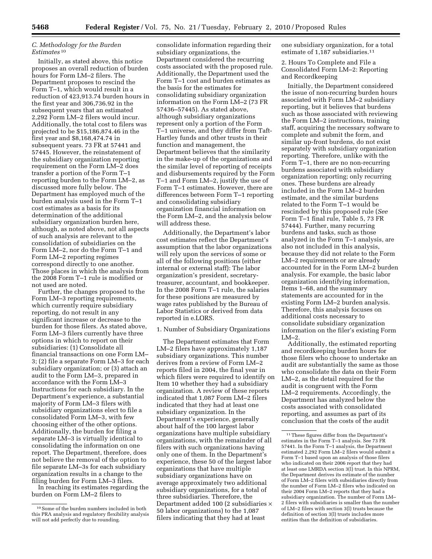#### *C. Methodology for the Burden Estimates* 10

Initially, as stated above, this notice proposes an overall reduction of burden hours for Form LM–2 filers. The Department proposes to rescind the Form T–1, which would result in a reduction of 423,913.74 burden hours in the first year and 306,736.92 in the subsequent years that an estimated 2,292 Form LM–2 filers would incur. Additionally, the total cost to filers was projected to be \$15,186,874.46 in the first year and \$8,168,474.74 in subsequent years. 73 FR at 57441 and 57445. However, the reinstatement of the subsidiary organization reporting requirement on the Form LM–2 does transfer a portion of the Form T–1 reporting burden to the Form LM–2, as discussed more fully below. The Department has employed much of the burden analysis used in the Form T–1 cost estimates as a basis for its determination of the additional subsidiary organization burden here, although, as noted above, not all aspects of such analysis are relevant to the consolidation of subsidiaries on the Form LM–2, nor do the Form T–1 and Form LM–2 reporting regimes correspond directly to one another. Those places in which the analysis from the 2008 Form T–1 rule is modified or not used are noted.

Further, the changes proposed to the Form LM–3 reporting requirements, which currently require subsidiary reporting, do not result in any significant increase or decrease to the burden for those filers. As stated above, Form LM–3 filers currently have three options in which to report on their subsidiaries: (1) Consolidate all financial transactions on one Form LM– 3; (2) file a separate Form LM–3 for each subsidiary organization; or (3) attach an audit to the Form LM–3, prepared in accordance with the Form LM–3 Instructions for each subsidiary. In the Department's experience, a substantial majority of Form LM–3 filers with subsidiary organizations elect to file a consolidated Form LM–3, with few choosing either of the other options. Additionally, the burden for filing a separate LM–3 is virtually identical to consolidating the information on one report. The Department, therefore, does not believe the removal of the option to file separate LM–3s for each subsidiary organization results in a change to the filing burden for Form LM–3 filers.

In reaching its estimates regarding the burden on Form LM–2 filers to

consolidate information regarding their subsidiary organizations, the Department considered the recurring costs associated with the proposed rule. Additionally, the Department used the Form T–1 cost and burden estimates as the basis for the estimates for consolidating subsidiary organization information on the Form LM–2 (73 FR 57436–57445). As stated above, although subsidiary organizations represent only a portion of the Form T–1 universe, and they differ from Taft-Hartley funds and other trusts in their function and management, the Department believes that the similarity in the make-up of the organizations and the similar level of reporting of receipts and disbursements required by the Form T–1 and Form LM–2, justify the use of Form T–1 estimates. However, there are differences between Form T–1 reporting and consolidating subsidiary organization financial information on the Form LM–2, and the analysis below will address these.

Additionally, the Department's labor cost estimates reflect the Department's assumption that the labor organizations will rely upon the services of some or all of the following positions (either internal or external staff): The labor organization's president, secretarytreasurer, accountant, and bookkeeper. In the 2008 Form T–1 rule, the salaries for these positions are measured by wage rates published by the Bureau of Labor Statistics or derived from data reported in e.LORS.

1. Number of Subsidiary Organizations

The Department estimates that Form LM–2 filers have approximately 1,187 subsidiary organizations. This number derives from a review of Form LM–2 reports filed in 2004, the final year in which filers were required to identify on Item 10 whether they had a subsidiary organization. A review of these reports indicated that 1,087 Form LM–2 filers indicated that they had at least one subsidiary organization. In the Department's experience, generally about half of the 100 largest labor organizations have multiple subsidiary organizations, with the remainder of all filers with such organizations having only one of them. In the Department's experience, these 50 of the largest labor organizations that have multiple subsidiary organizations have on average approximately two additional subsidiary organizations, for a total of three subsidiaries. Therefore, the Department added 100 (2 subsidiaries  $\times$ 50 labor organizations) to the 1,087 filers indicating that they had at least

one subsidiary organization, for a total estimate of 1,187 subsidiaries.<sup>11</sup>

2. Hours To Complete and File a Consolidated Form LM–2: Reporting and Recordkeeping

Initially, the Department considered the issue of non-recurring burden hours associated with Form LM–2 subsidiary reporting, but it believes that burdens such as those associated with reviewing the Form LM–2 instructions, training staff, acquiring the necessary software to complete and submit the form, and similar up-front burdens, do not exist separately with subsidiary organization reporting. Therefore, unlike with the Form T–1, there are no non-recurring burdens associated with subsidiary organization reporting; only recurring ones. These burdens are already included in the Form LM–2 burden estimate, and the similar burdens related to the Form T–1 would be rescinded by this proposed rule (*See*  Form T–1 final rule, Table 5, 73 FR 57444). Further, many recurring burdens and tasks, such as those analyzed in the Form T–1 analysis, are also not included in this analysis, because they did not relate to the Form LM–2 requirements or are already accounted for in the Form LM–2 burden analysis. For example, the basic labor organization identifying information, Items 1–68, and the summary statements are accounted for in the existing Form LM–2 burden analysis. Therefore, this analysis focuses on additional costs necessary to consolidate subsidiary organization information on the filer's existing Form LM–2.

Additionally, the estimated reporting and recordkeeping burden hours for those filers who choose to undertake an audit are substantially the same as those who consolidate the data on their Form LM–2, as the detail required for the audit is congruent with the Form LM–2 requirements. Accordingly, the Department has analyzed below the costs associated with consolidated reporting, and assumes as part of its conclusion that the costs of the audit

 $^{\rm 10}$  Some of the burden numbers included in both this PRA analysis and regulatory flexibility analysis will not add perfectly due to rounding.

 $^{\rm 11}\!$  These figures differ from the Department's estimates in the Form T–1 analysis. See 73 FR 57441. In the Form T–1 analysis, the Department estimated 2,292 Form LM–2 filers would submit a Form T–1 based upon an analysis of those filers who indicated on their 2006 report that they had at least one LMRDA section 3(l) trust. In this NPRM, the Department derives its estimate of the number of Form LM–2 filers with subsidiaries directly from the number of Form LM–2 filers who indicated on their 2004 Form LM–2 reports that they had a subsidiary organization. The number of Form LM– 2 filers with subsidiaries is smaller than the number of LM–2 filers with section 3(l) trusts because the definition of section 3(l) trusts includes more entities than the definition of subsidiaries.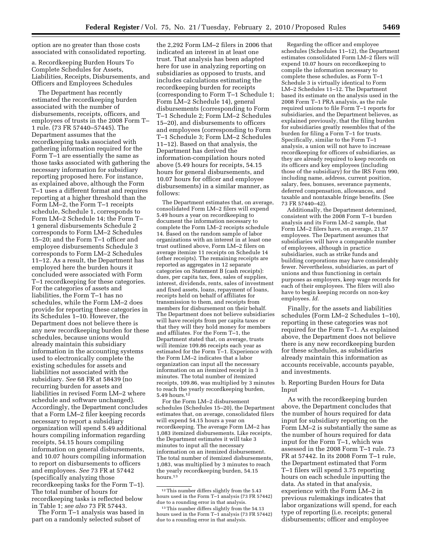option are no greater than those costs associated with consolidated reporting.

a. Recordkeeping Burden Hours To Complete Schedules for Assets, Liabilities, Receipts, Disbursements, and Officers and Employees Schedules

The Department has recently estimated the recordkeeping burden associated with the number of disbursements, receipts, officers, and employees of trusts in the 2008 Form T– 1 rule. (73 FR 57440–57445). The Department assumes that the recordkeeping tasks associated with gathering information required for the Form T–1 are essentially the same as those tasks associated with gathering the necessary information for subsidiary reporting proposed here. For instance, as explained above, although the Form T–1 uses a different format and requires reporting at a higher threshold than the Form LM–2, the Form T–1 receipts schedule, Schedule 1, corresponds to Form LM–2 Schedule 14; the Form T– 1 general disbursements Schedule 2 corresponds to Form LM–2 Schedules 15–20; and the Form T–1 officer and employee disbursements Schedule 3 corresponds to Form LM–2 Schedules 11–12. As a result, the Department has employed here the burden hours it concluded were associated with Form T–1 recordkeeping for these categories. For the categories of assets and liabilities, the Form T–1 has no schedules, while the Form LM–2 does provide for reporting these categories in its Schedules 1–10. However, the Department does not believe there is any new recordkeeping burden for these schedules, because unions would already maintain this subsidiary information in the accounting systems used to electronically complete the existing schedules for assets and liabilities not associated with the subsidiary. *See* 68 FR at 58439 (no recurring burden for assets and liabilities in revised Form LM–2 where schedule and software unchanged). Accordingly, the Department concludes that a Form LM–2 filer keeping records necessary to report a subsidiary organization will spend 5.49 additional hours compiling information regarding receipts, 54.15 hours compiling information on general disbursements, and 10.07 hours compiling information to report on disbursements to officers and employees. *See* 73 FR at 57442 (specifically analyzing those recordkeeping tasks for the Form T–1). The total number of hours for recordkeeping tasks is reflected below in Table 1; *see also* 73 FR 57443.

The Form T–1 analysis was based in part on a randomly selected subset of

the 2,292 Form LM–2 filers in 2006 that indicated an interest in at least one trust. That analysis has been adapted here for use in analyzing reporting on subsidiaries as opposed to trusts, and includes calculations estimating the recordkeeping burden for receipts (corresponding to Form T–1 Schedule 1; Form LM–2 Schedule 14), general disbursements (corresponding to Form T–1 Schedule 2; Form LM–2 Schedules 15–20), and disbursements to officers and employees (corresponding to Form T–1 Schedule 3; Form LM–2 Schedules 11–12). Based on that analysis, the Department has derived the information-compilation hours noted above (5.49 hours for receipts, 54.15 hours for general disbursements, and 10.07 hours for officer and employee disbursements) in a similar manner, as follows:

The Department estimates that, on average, consolidated Form LM–2 filers will expend 5.49 hours a year on recordkeeping to document the information necessary to complete the Form LM–2 receipts schedule 14. Based on the random sample of labor organizations with an interest in at least one trust outlined above, Form LM–2 filers on average itemize 11 receipts on Schedule 14 (other receipts). The remaining receipts are reported as aggregates in 12 separate categories on Statement B (cash receipts): dues, per capita tax, fees, sales of supplies, interest, dividends, rents, sales of investment and fixed assets, loans, repayment of loans, receipts held on behalf of affiliates for transmission to them, and receipts from members for disbursement on their behalf. The Department does not believe subsidiaries will have receipts from per capita taxes or that they will they hold money for members and affiliates. For the Form T–1, the Department stated that, on average, trusts will itemize 109.86 receipts each year as estimated for the Form T–1. Experience with the Form LM–2 indicates that a labor organization can input all the necessary information on an itemized receipt in 3 minutes. The total number of itemized receipts, 109.86, was multiplied by 3 minutes to reach the yearly recordkeeping burden, 5.49 hours.<sup>12</sup>

For the Form LM–2 disbursement schedules (Schedules 15–20), the Department estimates that, on average, consolidated filers will expend 54.15 hours a year on recordkeeping. The average Form LM–2 has 1,083 itemized disbursements. Like receipts, the Department estimates it will take 3 minutes to input all the necessary information on an itemized disbursement. The total number of itemized disbursements, 1,083, was multiplied by 3 minutes to reach the yearly recordkeeping burden, 54.15 hours.<sup>13</sup>

Regarding the officer and employee schedules (Schedules 11–12), the Department estimates consolidated Form LM–2 filers will expend 10.07 hours on recordkeeping to compile the information necessary to complete these schedules, as Form T–1 Schedule 3 is virtually identical to Form LM–2 Schedules 11–12. The Department based its estimate on the analysis used in the 2008 Form T–1 PRA analysis, as the rule required unions to file Form T–1 reports for subsidiaries, and the Department believes, as explained previously, that the filing burden for subsidiaries greatly resembles that of the burden for filing a Form T–1 for trusts. Specifically, similar to the Form T–1 analysis, a union will not have to increase recordkeeping for officers of subsidiaries, as they are already required to keep records on its officers and key employees (including those of the subsidiary) for the IRS Form 990, including name, address, current position, salary, fees, bonuses, severance payments, deferred compensation, allowances, and taxable and nontaxable fringe benefits. (See 73 FR 57440–42).

Additionally, the Department determined, consistent with the 2008 Form T–1 burden analysis and its Form LM–2 sample, that Form LM–2 filers have, on average, 21.57 employees. The Department assumes that subsidiaries will have a comparable number of employees, although in practice subsidiaries, such as strike funds and building corporations may have considerably fewer. Nevertheless, subsidiaries, as part of unions and thus functioning in certain purposes as employers, keep wage records for each of their employees. The filers will also have to begin keeping records on non-key employees. *Id.* 

Finally, for the assets and liabilities schedules (Form LM–2 Schedules 1–10), reporting in these categories was not required for the Form T–1. As explained above, the Department does not believe there is any new recordkeeping burden for these schedules, as subsidiaries already maintain this information as accounts receivable, accounts payable, and investments.

#### b. Reporting Burden Hours for Data Input

As with the recordkeeping burden above, the Department concludes that the number of hours required for data input for subsidiary reporting on the Form LM–2 is substantially the same as the number of hours required for data input for the Form T–1, which was assessed in the 2008 Form T–1 rule. 73 FR at 57442. In its 2008 Form T–1 rule, the Department estimated that Form T–1 filers will spend 3.75 reporting hours on each schedule inputting the data. As stated in that analysis, experience with the Form LM–2 in previous rulemakings indicates that labor organizations will spend, for each type of reporting (i.e. receipts; general disbursements; officer and employee

 $^{\rm 12}$  This number differs slightly from the  $5.43$ hours used in the Form T–1 analysis (73 FR 57442) due to a rounding error in that analysis.

<sup>13</sup>This number differs slightly from the 54.13 hours used in the Form T–1 analysis (73 FR 57442) due to a rounding error in that analysis.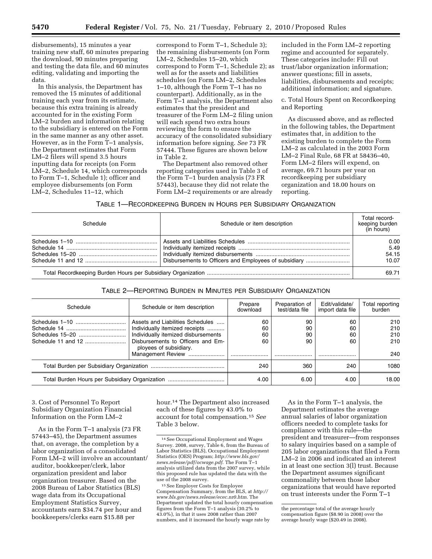disbursements), 15 minutes a year training new staff, 60 minutes preparing the download, 90 minutes preparing and testing the data file, and 60 minutes editing, validating and importing the data.

In this analysis, the Department has removed the 15 minutes of additional training each year from its estimate, because this extra training is already accounted for in the existing Form LM–2 burden and information relating to the subsidiary is entered on the Form in the same manner as any other asset. However, as in the Form T–1 analysis, the Department estimates that Form LM–2 filers will spend 3.5 hours inputting data for receipts (on Form LM–2, Schedule 14, which corresponds to Form T–1, Schedule 1); officer and employee disbursements (on Form LM–2, Schedules 11–12, which

correspond to Form T–1, Schedule 3); the remaining disbursements (on Form LM–2, Schedules 15–20, which correspond to Form T–1, Schedule 2); as well as for the assets and liabilities schedules (on Form LM–2, Schedules 1–10, although the Form T–1 has no counterpart). Additionally, as in the Form T–1 analysis, the Department also estimates that the president and treasurer of the Form LM–2 filing union will each spend two extra hours reviewing the form to ensure the accuracy of the consolidated subsidiary information before signing. *See* 73 FR 57444. These figures are shown below in Table 2.

The Department also removed other reporting categories used in Table 3 of the Form T–1 burden analysis (73 FR 57443), because they did not relate the Form LM–2 requirements or are already

included in the Form LM–2 reporting regime and accounted for separately. These categories include: Fill out trust/labor organization information; answer questions; fill in assets, liabilities, disbursements and receipts; additional information; and signature.

c. Total Hours Spent on Recordkeeping and Reporting

As discussed above, and as reflected in the following tables, the Department estimates that, in addition to the existing burden to complete the Form LM–2 as calculated in the 2003 Form LM–2 Final Rule, 68 FR at 58436–40, Form LM–2 filers will expend, on average, 69.71 hours per year on recordkeeping per subsidiary organization and 18.00 hours on reporting.

#### TABLE 1—RECORDKEEPING BURDEN IN HOURS PER SUBSIDIARY ORGANIZATION

| Schedule                                              | Schedule or item description | Total record-<br>keeping burden<br>(in hours) |
|-------------------------------------------------------|------------------------------|-----------------------------------------------|
| Disbursements to Officers and Employees of subsidiary |                              | 0.00<br>5.49<br>54.15<br>10.07                |
|                                                       |                              |                                               |

#### TABLE 2—REPORTING BURDEN IN MINUTES PER SUBSIDIARY ORGANIZATION

| Schedule                                       | Schedule or item description                                                                                                                                                                  | Prepare<br>download  | Preparation of<br>test/data file | Edit/validate/<br>import data file | Total reporting<br>burden       |
|------------------------------------------------|-----------------------------------------------------------------------------------------------------------------------------------------------------------------------------------------------|----------------------|----------------------------------|------------------------------------|---------------------------------|
| Schedule 11 and 12                             | Assets and Liabilities Schedules<br>Individually itemized receipts<br>Individually itemized disbursements<br>Disbursements to Officers and Em-<br>ployees of subsidiary.<br>Management Review | 60<br>60<br>60<br>60 | 90<br>90<br>90<br>90             | 60<br>60<br>60<br>60               | 210<br>210<br>210<br>210<br>240 |
|                                                |                                                                                                                                                                                               | 240                  | 360                              | 240                                | 1080                            |
| Total Burden Hours per Subsidiary Organization |                                                                                                                                                                                               | 4.00                 | 6.00                             | 4.00                               | 18.00                           |

#### 3. Cost of Personnel To Report Subsidiary Organization Financial Information on the Form LM–2

As in the Form T–1 analysis (73 FR 57443–45), the Department assumes that, on average, the completion by a labor organization of a consolidated Form LM–2 will involve an accountant/ auditor, bookkeeper/clerk, labor organization president and labor organization treasurer. Based on the 2008 Bureau of Labor Statistics (BLS) wage data from its Occupational Employment Statistics Survey, accountants earn \$34.74 per hour and bookkeepers/clerks earn \$15.88 per

hour.14 The Department also increased each of these figures by 43.0% to account for total compensation.15 *See*  Table 3 below.

As in the Form T–1 analysis, the Department estimates the average annual salaries of labor organization officers needed to complete tasks for compliance with this rule—the president and treasurer—from responses to salary inquiries based on a sample of 205 labor organizations that filed a Form LM–2 in 2006 and indicated an interest in at least one section 3(l) trust. Because the Department assumes significant commonality between those labor organizations that would have reported on trust interests under the Form T–1

<sup>14</sup>See Occupational Employment and Wages Survey. 2008, survey, Table 6, from the Bureau of Labor Statistics (BLS), Occupational Employment Statistics (OES) Program; *http://www.bls.gov/ news.release/pdf/ocwage.pdf*. The Form T–1 analysis utilized data from the 2007 survey, while this proposed rule has updated the data with the use of the 2008 survey.

<sup>15</sup>See Employer Costs for Employee Compensation Summary, from the BLS, at *http:// www.bls.gov/news.release/ecec.nr0.htm*. The Department updated the total hourly compensation figures from the Form T–1 analysis (30.2% to 43.0%), in that it uses 2008 rather than 2007 numbers, and it increased the hourly wage rate by

the percentage total of the average hourly compensation figure (\$8.90 in 2008) over the average hourly wage (\$20.49 in 2008).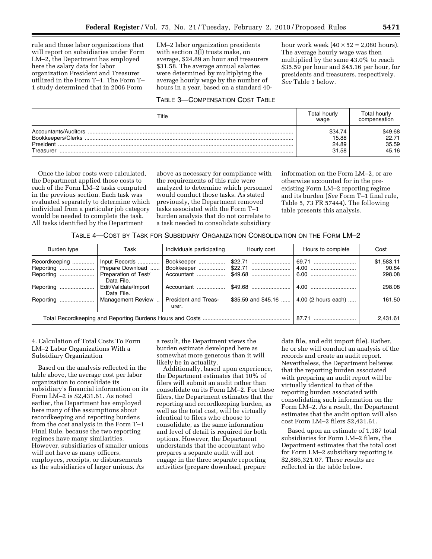rule and those labor organizations that will report on subsidiaries under Form LM–2, the Department has employed here the salary data for labor organization President and Treasurer utilized in the Form T–1. The Form T– 1 study determined that in 2006 Form

LM–2 labor organization presidents with section 3(l) trusts make, on average, \$24.89 an hour and treasurers \$31.58. The average annual salaries were determined by multiplying the average hourly wage by the number of hours in a year, based on a standard 40-

#### TABLE 3—COMPENSATION COST TABLE

hour work week  $(40 \times 52 = 2,080$  hours). The average hourly wage was then multiplied by the same 43.0% to reach \$35.59 per hour and \$45.16 per hour, for presidents and treasurers, respectively. *See* Table 3 below.

| Title                                                   | Total hourlv<br>wage      | Total hourlv<br>compensation |
|---------------------------------------------------------|---------------------------|------------------------------|
| Accountants/Auditors<br>Bookkeepers/Clerks<br>President | \$34.74<br>15.88<br>24.89 | \$49.68<br>22.71<br>35.59    |
| Treasurer                                               | 31.58                     | 45.16                        |

Once the labor costs were calculated, the Department applied those costs to each of the Form LM–2 tasks computed in the previous section. Each task was evaluated separately to determine which individual from a particular job category would be needed to complete the task. All tasks identified by the Department

above as necessary for compliance with the requirements of this rule were analyzed to determine which personnel would conduct those tasks. As stated previously, the Department removed tasks associated with the Form T–1 burden analysis that do not correlate to a task needed to consolidate subsidiary

information on the Form LM–2, or are otherwise accounted for in the preexisting Form LM–2 reporting regime and its burden (*See* Form T–1 final rule, Table 5, 73 FR 57444). The following table presents this analysis.

| Burden type                | Task                               | Individuals participating<br>Hourly cost |  | Hours to complete                          | Cost                |  |
|----------------------------|------------------------------------|------------------------------------------|--|--------------------------------------------|---------------------|--|
| Recordkeeping<br>Reporting | Input Records<br>Prepare Download  | Bookkeeper                               |  | 69.71                                      | \$1,583.11<br>90.84 |  |
| Reporting                  | Preparation of Test/<br>Data File. | Accountant                               |  |                                            | 298.08              |  |
| Reporting                  | Edit/Validate/Import<br>Data File. | Accountant                               |  |                                            | 298.08              |  |
| Reporting                  | Management Review                  | <b>President and Treas-</b><br>urer.     |  | \$35.59 and \$45.16    4.00 (2 hours each) | 161.50              |  |
|                            |                                    |                                          |  | 87.71                                      | 2,431.61            |  |

#### 4. Calculation of Total Costs To Form LM–2 Labor Organizations With a Subsidiary Organization

Based on the analysis reflected in the table above, the average cost per labor organization to consolidate its subsidiary's financial information on its Form LM–2 is \$2,431.61. As noted earlier, the Department has employed here many of the assumptions about recordkeeping and reporting burdens from the cost analysis in the Form T–1 Final Rule, because the two reporting regimes have many similarities. However, subsidiaries of smaller unions will not have as many officers, employees, receipts, or disbursements as the subsidiaries of larger unions. As

a result, the Department views the burden estimate developed here as somewhat more generous than it will likely be in actuality.

Additionally, based upon experience, the Department estimates that 10% of filers will submit an audit rather than consolidate on its Form LM–2. For these filers, the Department estimates that the reporting and recordkeeping burden, as well as the total cost, will be virtually identical to filers who choose to consolidate, as the same information and level of detail is required for both options. However, the Department understands that the accountant who prepares a separate audit will not engage in the three separate reporting activities (prepare download, prepare

data file, and edit import file). Rather, he or she will conduct an analysis of the records and create an audit report. Nevertheless, the Department believes that the reporting burden associated with preparing an audit report will be virtually identical to that of the reporting burden associated with consolidating such information on the Form LM–2. As a result, the Department estimates that the audit option will also cost Form LM–2 filers \$2,431.61.

Based upon an estimate of 1,187 total subsidiaries for Form LM–2 filers, the Department estimates that the total cost for Form LM–2 subsidiary reporting is \$2,886,321.07. These results are reflected in the table below.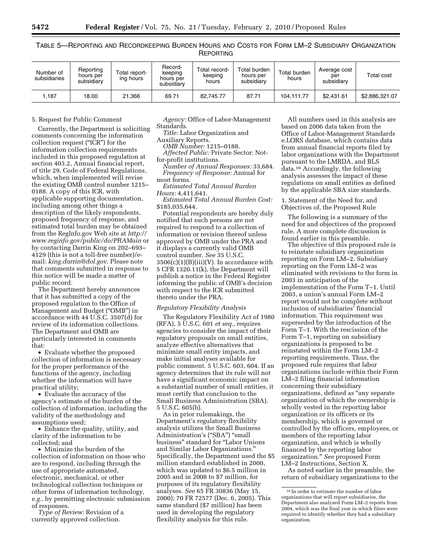| Number of<br>subsidiaries | Reporting<br>hours per<br>subsidiary | Total report-<br>ing hours | Record-<br>keeping<br>hours per<br>subsidiary | Total record-<br>keeping<br>hours | Total burden<br>hours per<br>subsidiarv | Total burden<br>hours | Average cost<br>per<br>subsidiary | Total cost     |
|---------------------------|--------------------------------------|----------------------------|-----------------------------------------------|-----------------------------------|-----------------------------------------|-----------------------|-----------------------------------|----------------|
| .187،                     | 18.00                                | 21.366                     | 69.71                                         | 82.745.77                         | 87.71                                   | 104.111.77            | \$2.431.61                        | \$2,886,321.07 |

TABLE 5—REPORTING AND RECORDKEEPING BURDEN HOURS AND COSTS FOR FORM LM–2 SUBSIDIARY ORGANIZATION REPORTING

#### 5. Request for Public Comment

Currently, the Department is soliciting comments concerning the information collection request (''ICR'') for the information collection requirements included in this proposed regulation at section 403.2, Annual financial report, of title 29, Code of Federal Regulations, which, when implemented will revise the existing OMB control number 1215– 0188. A copy of this ICR, with applicable supporting documentation, including among other things a description of the likely respondents, proposed frequency of response, and estimated total burden may be obtained from the RegInfo.gov Web site at *http:// www.reginfo.gov/public/do/PRAMain* or by contacting Darrin King on 202–693– 4129 (this is not a toll-free number)/email: *king.darrin@dol.gov*. Please note that comments submitted in response to this notice will be made a matter of public record.

The Department hereby announces that it has submitted a copy of the proposed regulation to the Office of Management and Budget (''OMB'') in accordance with 44 U.S.C. 3507(d) for review of its information collections. The Department and OMB are particularly interested in comments that:

• Evaluate whether the proposed collection of information is necessary for the proper performance of the functions of the agency, including whether the information will have practical utility;

• Evaluate the accuracy of the agency's estimate of the burden of the collection of information, including the validity of the methodology and assumptions used;

• Enhance the quality, utility, and clarity of the information to be collected; and

• Minimize the burden of the collection of information on those who are to respond, including through the use of appropriate automated, electronic, mechanical, or other technological collection techniques or other forms of information technology, *e.g.,* by permitting electronic submission of responses.

*Type of Review:* Revision of a currently approved collection.

*Agency:* Office of Labor-Management Standards.

*Title:* Labor Organization and

Auxiliary Reports.

*OMB Number:* 1215–0188.

*Affected Public:* Private Sector: Notfor-profit institutions.

*Number of Annual Responses:* 33,684. *Frequency of Response:* Annual for most forms.

*Estimated Total Annual Burden Hours:* 4,411,641.

*Estimated Total Annual Burden Cost:*  \$185,035,644.

Potential respondents are hereby duly notified that such persons are not required to respond to a collection of information or revision thereof unless approved by OMB under the PRA and it displays a currently valid OMB control number. *See* 35 U.S.C.  $3506(c)(1)(B)(iii)(V)$ . In accordance with 5 CFR 1320.11(k), the Department will publish a notice in the Federal Register informing the public of OMB's decision with respect to the ICR submitted thereto under the PRA.

#### *Regulatory Flexibility Analysis*

The Regulatory Flexibility Act of 1980 (RFA), 5 U.S.C. 601 *et seq.,* requires agencies to consider the impact of their regulatory proposals on small entities, analyze effective alternatives that minimize small entity impacts, and make initial analyses available for public comment. 5 U.S.C. 603, 604. If an agency determines that its rule will not have a significant economic impact on a substantial number of small entities, it must certify that conclusion to the Small Business Administration (SBA). 5 U.S.C. 605(b).

As in prior rulemakings, the Department's regulatory flexibility analysis utilizes the Small Business Administration's ("SBA") "small business'' standard for ''Labor Unions and Similar Labor Organizations.'' Specifically, the Department used the \$5 million standard established in 2000, which was updated to \$6.5 million in 2005 and in 2008 to \$7 million, for purposes of its regulatory flexibility analyses. *See* 65 FR 30836 (May 15, 2000); 70 FR 72577 (Dec. 6, 2005). This same standard (\$7 million) has been used in developing the regulatory flexibility analysis for this rule.

All numbers used in this analysis are based on 2006 data taken from the Office of Labor-Management Standards e.LORS database, which contains data from annual financial reports filed by labor organizations with the Department pursuant to the LMRDA, and BLS data.16 Accordingly, the following analysis assesses the impact of these regulations on small entities as defined by the applicable SBA size standards.

1. Statement of the Need for, and Objectives of, the Proposed Rule

The following is a summary of the need for and objectives of the proposed rule. A more complete discussion is found earlier in this preamble.

The objective of this proposed rule is to reinstate subsidiary organization reporting on Form LM–2. Subsidiary reporting on the Form LM–2 was eliminated with revisions to the form in 2003 in anticipation of the implementation of the Form T–1. Until 2003, a union's annual Form LM–2 report would not be complete without inclusion of subsidiaries' financial information. This requirement was superseded by the introduction of the Form T–1. With the rescission of the Form T–1, reporting on subsidiary organizations is proposed to be reinstated within the Form LM–2 reporting requirements. Thus, the proposed rule requires that labor organizations include within their Form LM–2 filing financial information concerning their subsidiary organizations, defined as ''any separate organization of which the ownership is wholly vested in the reporting labor organization or its officers or its membership, which is governed or controlled by the officers, employees, or members of the reporting labor organization, and which is wholly financed by the reporting labor organization.'' *See* proposed Form LM–2 Instructions, Section X.

As noted earlier in the preamble, the return of subsidiary organizations to the

<sup>16</sup> In order to estimate the number of labor organizations that will report subsidiaries, the Department also analyzed Form LM–2 reports from 2004, which was the final year in which filers were required to identify whether they had a subsidiary organization.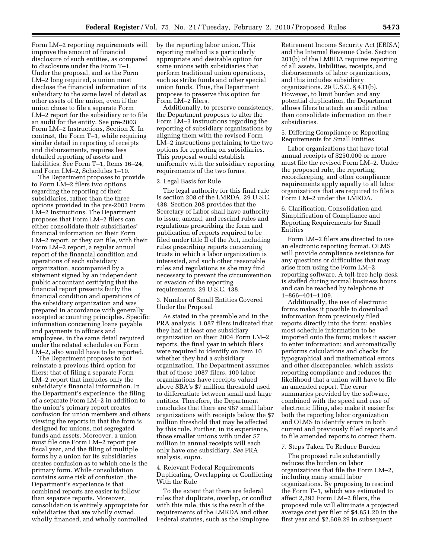Form LM–2 reporting requirements will improve the amount of financial disclosure of such entities, as compared to disclosure under the Form T–1. Under the proposal, and as the Form LM–2 long required, a union must disclose the financial information of its subsidiary to the same level of detail as other assets of the union, even if the union chose to file a separate Form LM–2 report for the subsidiary or to file an audit for the entity. See pre-2003 Form LM–2 Instructions, Section X. In contrast, the Form T–1, while requiring similar detail in reporting of receipts and disbursements, requires less detailed reporting of assets and liabilities. See Form T–1, Items 16–24, and Form LM–2, Schedules 1–10.

The Department proposes to provide to Form LM–2 filers two options regarding the reporting of their subsidiaries, rather than the three options provided in the pre-2003 Form LM–2 Instructions. The Department proposes that Form LM–2 filers can either consolidate their subsidiaries' financial information on their Form LM–2 report, or they can file, with their Form LM–2 report, a regular annual report of the financial condition and operations of each subsidiary organization, accompanied by a statement signed by an independent public accountant certifying that the financial report presents fairly the financial condition and operations of the subsidiary organization and was prepared in accordance with generally accepted accounting principles. Specific information concerning loans payable and payments to officers and employees, in the same detail required under the related schedules on Form LM–2, also would have to be reported.

The Department proposes to not reinstate a previous third option for filers: that of filing a separate Form LM–2 report that includes only the subsidiary's financial information. In the Department's experience, the filing of a separate Form LM–2 in addition to the union's primary report creates confusion for union members and others viewing the reports in that the form is designed for unions, not segregated funds and assets. Moreover, a union must file one Form LM–2 report per fiscal year, and the filing of multiple forms by a union for its subsidiaries creates confusion as to which one is the primary form. While consolidation contains some risk of confusion, the Department's experience is that combined reports are easier to follow than separate reports. Moreover, consolidation is entirely appropriate for subsidiaries that are wholly owned, wholly financed, and wholly controlled

by the reporting labor union. This reporting method is a particularly appropriate and desirable option for some unions with subsidiaries that perform traditional union operations, such as strike funds and other special union funds. Thus, the Department proposes to preserve this option for Form LM–2 filers.

Additionally, to preserve consistency, the Department proposes to alter the Form LM–3 instructions regarding the reporting of subsidiary organizations by aligning them with the revised Form LM–2 instructions pertaining to the two options for reporting on subsidiaries. This proposal would establish uniformity with the subsidiary reporting requirements of the two forms.

#### 2. Legal Basis for Rule

The legal authority for this final rule is section 208 of the LMRDA. 29 U.S.C. 438. Section 208 provides that the Secretary of Labor shall have authority to issue, amend, and rescind rules and regulations prescribing the form and publication of reports required to be filed under title II of the Act, including rules prescribing reports concerning trusts in which a labor organization is interested, and such other reasonable rules and regulations as she may find necessary to prevent the circumvention or evasion of the reporting requirements. 29 U.S.C. 438.

3. Number of Small Entities Covered Under the Proposal

As stated in the preamble and in the PRA analysis, 1,087 filers indicated that they had at least one subsidiary organization on their 2004 Form LM–2 reports, the final year in which filers were required to identify on Item 10 whether they had a subsidiary organization. The Department assumes that of those 1087 filers, 100 labor organizations have receipts valued above SBA's \$7 million threshold used to differentiate between small and large entities. Therefore, the Department concludes that there are 987 small labor organizations with receipts below the \$7 million threshold that may be affected by this rule. Further, in its experience, those smaller unions with under \$7 million in annual receipts will each only have one subsidiary. *See* PRA analysis, *supra.* 

4. Relevant Federal Requirements Duplicating, Overlapping or Conflicting With the Rule

To the extent that there are federal rules that duplicate, overlap, or conflict with this rule, this is the result of the requirements of the LMRDA and other Federal statutes, such as the Employee

Retirement Income Security Act (ERISA) and the Internal Revenue Code. Section 201(b) of the LMRDA requires reporting of all assets, liabilities, receipts, and disbursements of labor organizations, and this includes subsidiary organizations. 29 U.S.C. § 431(b). However, to limit burden and any potential duplication, the Department allows filers to attach an audit rather than consolidate information on their subsidiaries.

5. Differing Compliance or Reporting Requirements for Small Entities

Labor organizations that have total annual receipts of \$250,000 or more must file the revised Form LM–2. Under the proposed rule, the reporting, recordkeeping, and other compliance requirements apply equally to all labor organizations that are required to file a Form LM–2 under the LMRDA.

6. Clarification, Consolidation and Simplification of Compliance and Reporting Requirements for Small Entities

Form LM–2 filers are directed to use an electronic reporting format. OLMS will provide compliance assistance for any questions or difficulties that may arise from using the Form LM–2 reporting software. A toll-free help desk is staffed during normal business hours and can be reached by telephone at 1–866–401–1109.

Additionally, the use of electronic forms makes it possible to download information from previously filed reports directly into the form; enables most schedule information to be imported onto the form; makes it easier to enter information; and automatically performs calculations and checks for typographical and mathematical errors and other discrepancies, which assists reporting compliance and reduces the likelihood that a union will have to file an amended report. The error summaries provided by the software, combined with the speed and ease of electronic filing, also make it easier for both the reporting labor organization and OLMS to identify errors in both current and previously filed reports and to file amended reports to correct them.

7. Steps Taken To Reduce Burden

The proposed rule substantially reduces the burden on labor organizations that file the Form LM–2, including many small labor organizations. By proposing to rescind the Form T–1, which was estimated to affect 2,292 Form LM–2 filers, the proposed rule will eliminate a projected average cost per filer of \$4,851.20 in the first year and \$2,609.29 in subsequent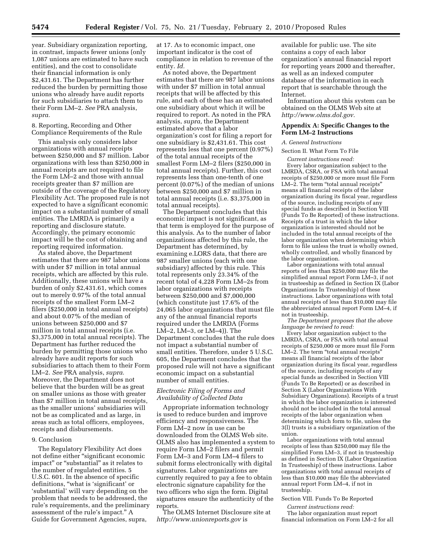year. Subsidiary organization reporting, in contrast, impacts fewer unions (only 1,087 unions are estimated to have such entities), and the cost to consolidate their financial information is only \$2,431.61. The Department has further reduced the burden by permitting those unions who already have audit reports for such subsidiaries to attach them to their Form LM–2. *See* PRA analysis, *supra.* 

8. Reporting, Recording and Other Compliance Requirements of the Rule

This analysis only considers labor organizations with annual receipts between \$250,000 and \$7 million. Labor organizations with less than \$250,000 in annual receipts are not required to file the Form LM–2 and those with annual receipts greater than \$7 million are outside of the coverage of the Regulatory Flexibility Act. The proposed rule is not expected to have a significant economic impact on a substantial number of small entities. The LMRDA is primarily a reporting and disclosure statute. Accordingly, the primary economic impact will be the cost of obtaining and reporting required information.

As stated above, the Department estimates that there are 987 labor unions with under \$7 million in total annual receipts, which are affected by this rule. Additionally, these unions will have a burden of only \$2,431.61, which comes out to merely 0.97% of the total annual receipts of the smallest Form LM–2 filers (\$250,000 in total annual receipts) and about 0.07% of the median of unions between \$250,000 and \$7 million in total annual receipts (i.e. \$3,375,000 in total annual receipts). The Department has further reduced the burden by permitting those unions who already have audit reports for such subsidiaries to attach them to their Form LM–2. *See* PRA analysis, *supra.*  Moreover, the Department does not believe that the burden will be as great on smaller unions as those with greater than \$7 million in total annual receipts, as the smaller unions' subsidiaries will not be as complicated and as large, in areas such as total officers, employees, receipts and disbursements.

#### 9. Conclusion

The Regulatory Flexibility Act does not define either ''significant economic impact'' or ''substantial'' as it relates to the number of regulated entities. 5 U.S.C. 601. In the absence of specific definitions, ''what is 'significant' or 'substantial' will vary depending on the problem that needs to be addressed, the rule's requirements, and the preliminary assessment of the rule's impact.'' A Guide for Government Agencies, supra,

at 17. As to economic impact, one important indicator is the cost of compliance in relation to revenue of the entity. *Id.* 

As noted above, the Department estimates that there are 987 labor unions with under \$7 million in total annual receipts that will be affected by this rule, and each of these has an estimated one subsidiary about which it will be required to report. As noted in the PRA analysis, *supra,* the Department estimated above that a labor organization's cost for filing a report for one subsidiary is \$2,431.61. This cost represents less that one percent (0.97%) of the total annual receipts of the smallest Form LM–2 filers (\$250,000 in total annual receipts). Further, this cost represents less than one-tenth of one percent (0.07%) of the median of unions between \$250,000 and \$7 million in total annual receipts (i.e. \$3,375,000 in total annual receipts).

The Department concludes that this economic impact is not significant, as that term is employed for the purpose of this analysis. As to the number of labor organizations affected by this rule, the Department has determined, by examining e.LORS data, that there are 987 smaller unions (each with one subsidiary) affected by this rule. This total represents only 23.34% of the recent total of 4,228 Form LM–2s from labor organizations with receipts between \$250,000 and \$7,000,000 (which constitute just 17.6% of the 24,065 labor organizations that must file any of the annual financial reports required under the LMRDA (Forms LM–2, LM–3, or LM–4)). The Department concludes that the rule does not impact a substantial number of small entities. Therefore, under 5 U.S.C. 605, the Department concludes that the proposed rule will not have a significant economic impact on a substantial number of small entities.

#### *Electronic Filing of Forms and Availability of Collected Data*

Appropriate information technology is used to reduce burden and improve efficiency and responsiveness. The Form LM–2 now in use can be downloaded from the OLMS Web site. OLMS also has implemented a system to require Form LM–2 filers and permit Form LM–3 and Form LM–4 filers to submit forms electronically with digital signatures. Labor organizations are currently required to pay a fee to obtain electronic signature capability for the two officers who sign the form. Digital signatures ensure the authenticity of the reports.

The OLMS Internet Disclosure site at *http://www.unionreports.gov* is

available for public use. The site contains a copy of each labor organization's annual financial report for reporting years 2000 and thereafter, as well as an indexed computer database of the information in each report that is searchable through the Internet.

Information about this system can be obtained on the OLMS Web site at *http://www.olms.dol.gov.* 

#### **Appendix A: Specific Changes to the Form LM–2 Instructions**

#### *A. General Instructions*

#### Section II. What Form To File

*Current instructions read:*  Every labor organization subject to the LMRDA, CSRA, or FSA with total annual receipts of \$250,000 or more must file Form LM-2. The term "total annual receipts" means all financial receipts of the labor organization during its fiscal year, regardless of the source, including receipts of any special funds as described in Section VIII (Funds To Be Reported) of these instructions. Receipts of a trust in which the labor organization is interested should not be included in the total annual receipts of the labor organization when determining which form to file unless the trust is wholly owned, wholly controlled, and wholly financed by the labor organization.

Labor organizations with total annual reports of less than \$250,000 may file the simplified annual report Form LM–3, if not in trusteeship as defined in Section IX (Labor Organizations In Trusteeship) of these instructions. Labor organizations with total annual receipts of less than \$10,000 may file the abbreviated annual report Form LM–4, if not in trusteeship.

*The Department proposes that the above language be revised to read:* 

Every labor organization subject to the LMRDA, CSRA, or FSA with total annual receipts of \$250,000 or more must file Form LM-2. The term "total annual receipts" means all financial receipts of the labor organization during its fiscal year, regardless of the source, including receipts of any special funds as described in Section VIII (Funds To Be Reported) or as described in Section X (Labor Organizations With Subsidiary Organizations). Receipts of a trust in which the labor organization is interested should not be included in the total annual receipts of the labor organization when determining which form to file, unless the 3(l) trusts is a subsidiary organization of the union.

Labor organizations with total annual receipts of less than \$250,000 may file the simplified Form LM–3, if not in trusteeship as defined in Section IX (Labor Organization In Trusteeship) of these instructions. Labor organizations with total annual receipts of less than \$10,000 may file the abbreviated annual report Form LM–4, if not in trusteeship.

#### Section VIII. Funds To Be Reported

*Current instructions read:*  The labor organization must report financial information on Form LM–2 for all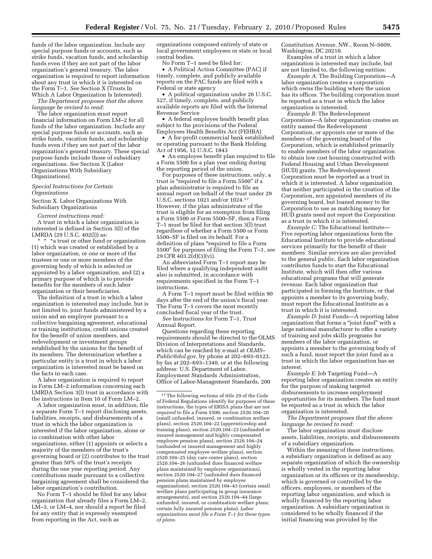funds of the labor organization. Include any special purpose funds or accounts, such as strike funds, vacation funds, and scholarship funds even if they are not part of the labor organization's general treasury. The labor organization is required to report information about any trust in which it is interested on the Form T–1. *See* Section X (Trusts In Which A Labor Organization Is Interested).

*The Department proposes that the above language be revised to read:* 

The labor organization must report financial information on Form LM–2 for all funds of the labor organization. Include any special purpose funds or accounts, such as strike funds, vacation funds, and scholarship funds even if they are not part of the labor organization's general treasury. These special purpose funds include those of subsidiary organizations. *See* Section X (Labor Organizations With Subsidiary Organizations).

#### *Special Instructions for Certain Organizations*

Section X. Labor Organizations With Subsidiary Organizations

*Current instructions read:* 

A trust in which a labor organization is interested is defined in Section 3(l) of the LMRDA (29 U.S.C. 402(l)) as:

\* \* \*a trust or other fund or organization (1) which was created or established by a labor organization, or one or more of the trustees or one or more members of the governing body of which is selected or appointed by a labor organization, and (2) a primary purpose of which is to provide benefits for the members of such labor organization or their beneficiaries.

The definition of a trust in which a labor organization is interested may include, but is not limited to, joint funds administered by a union and an employer pursuant to a collective bargaining agreement, educational or training institutions, credit unions created for the benefit of union members, and redevelopment or investment groups established by the unions for the benefit of its members. The determination whether a particular entity is a trust in which a labor organization is interested must be based on the facts in each case.

A labor organization is required to report in Form LM–2 information concerning each LMRDA Section 3(l) trust in accordance with the instructions in Item 10 of Form LM–2.

A labor organization must, in addition, file a separate Form T–1 report disclosing assets, liabilities, receipts, and disbursements of a trust in which the labor organization is interested if the labor organization, alone or in combination with other labor organizations, either (1) appoints or selects a majority of the members of the trust's governing board or (2) contributes to the trust greater than 50% of the trust's receipts during the one year reporting period. Any contributions made pursuant to a collective bargaining agreement shall be considered the labor organization's contribution.

No Form T–1 should be filed for any labor organization that already files a Form LM–2, LM–3, or LM–4, nor should a report be filed for any entity that is expressly exempted from reporting in the Act, such as

organizations composed entirely of state or local government employees or state or local central bodies.

No Form T–1 need be filed for:

• A Political Action Committee (PAC) if timely, complete, and publicly available reports on the PAC funds are filed with a Federal or state agency

• A political organization under 26 U.S.C. 527, if timely, complete, and publicly available reports are filed with the Internal Revenue Service

• A federal employee health benefit plan subject to the provisions of the Federal Employees Health Benefits Act (FEHBA)

• A for-profit commercial bank established or operating pursuant to the Bank Holding Act of 1956, 12 U.S.C. 1843

• An employee benefit plan required to file a Form 5500 for a plan year ending during the reporting period of the union.

For purposes of these instructions, only, a trust is "required to file a Form 5500" if a plan administrator is required to file an annual report on behalf of the trust under 29 U.S.C. sections 1021 and/or 1024.17 However, if the plan administrator of the trust is eligible for an exemption from filing a Form 5500 or Form 5500–SF, then a Form T–1 must be filed for that section 3(l) trust regardless of whether a Form 5500 or Form 5500–SF is filed on its behalf. For a definition of plans "required to file a Form 5500'' for purposes of filing the Form T–1, *see*  29 CFR 403.2(d)(3)(vi).

An abbreviated Form T–1 report may be filed where a qualifying independent audit also is submitted, in accordance with requirements specified in the Form T–1 instructions.

A Form T–1 report must be filed within 90 days after the end of the union's fiscal year. The Form T–1 covers the most recently concluded fiscal year of the trust.

*See* Instructions for Form T–1, Trust Annual Report.

Questions regarding these reporting requirements should be directed to the OLMS Division of Interpretations and Standards, which can be reached by e-mail at *OLMS– Public@dol.gov,* by phone at 202–693–0123, by fax at 202–693–1340, or at the following address: U.S. Department of Labor, Employment Standards Administration, Office of Labor-Management Standards, 200

Constitution Avenue, NW., Room N–5609, Washington, DC 20210.

Examples of a trust in which a labor organization is interested may include, but are not limited to, the following entities:

*Example A:* The Building Corporation—A labor organization creates a corporation which owns the building where the union has its offices. The building corporation must be reported as a trust in which the labor organization is interested.

*Example B:* The Redevelopment Corporation—A labor organization creates an entity named the Redevelopment Corporation, or appoints one or more of the members of the governing board of the Corporation, which is established primarily to enable members of the labor organization to obtain low cost housing constructed with Federal Housing and Urban Development (HUD) grants. The Redevelopment Corporation must be reported as a trust in which it is interested.  $\overline{A}$  labor organization that neither participated in the creation of the Corporation, nor appointed members of its governing board, but loaned money to the Corporation to use as matching money for HUD grants need not report the Corporation as a trust in which it is interested.

*Example C:* The Educational Institute— Five reporting labor organizations form the Educational Institute to provide educational services primarily for the benefit of their members. Similar services are also provided to the general public. Each labor organization contributes funds to start the Educational Institute, which will then offer various educational programs that will generate revenue. Each labor organization that participated in forming the Institute, or that appoints a member to its governing body, must report the Educational Institute as a trust in which it is interested.

*Example D:* Joint Funds—A reporting labor organization that forms a ''joint fund'' with a large national manufacturer to offer a variety of training and jobs skills programs for members of the labor organization, or appoints a member to the governing body of such a fund, must report the joint fund as a trust in which the labor organization has an interest.

*Example E:* Job Targeting Fund—A reporting labor organization creates an entity for the purpose of making targeted disbursements to increase employment opportunities for its members. The fund must be reported as a trust in which the labor organization is interested.

*The Department proposes that the above language be revised to read:* 

The labor organization must disclose assets, liabilities, receipts, and disbursements of a subsidiary organization.

Within the meaning of these instructions, a subsidiary organization is defined as any separate organization of which the ownership is wholly vested in the reporting labor organization or its officers or its membership, which is governed or controlled by the officers, employees, or members of the reporting labor organization, and which is wholly financed by the reporting labor organization. A subsidiary organization is considered to be wholly financed if the initial financing was provided by the

<sup>17</sup>The following sections of title 29 of the Code of Federal Regulations identify for purposes of these instructions, the types of ERISA plans that are not *required* to file a Form 5500: section 2520.104–20 (small unfunded, insured, or combination welfare plans), section 2520.104–22 (apprenticeship and training plans), section 2520.104–23 (unfunded or insured management and highly compensated employee pension plans), section 2520.104–24 (unfunded or insured management and highly compensated employee welfare plans), section 2520.104–25 (day care center plans), section 2520.104–26 (unfunded dues financed welfare plans maintained by employee organizations), section 2520.104–27 (unfunded dues financed pension plans maintained by employee organizations), section 2520.104–43 (certain small welfare plans participating in group insurance arrangements), and section 2520.104–44 (large unfunded, insured, or combination welfare plans; certain fully insured pension plans). *Labor organizations must file a Form T–1 for these types of plans.*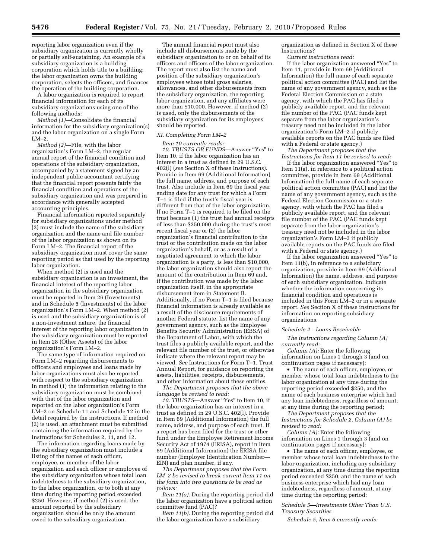reporting labor organization even if the subsidiary organization is currently wholly or partially self-sustaining. An example of a subsidiary organization is a building corporation which holds title to a building; the labor organization owns the building corporation, selects the officers, and finances the operation of the building corporation.

A labor organization is required to report financial information for each of its subsidiary organizations using one of the following methods:

*Method (1)*—Consolidate the financial information for the subsidiary organization(s) and the labor organization on a single Form LM–2.

*Method (2)*—File, with the labor organization's Form LM–2, the regular annual report of the financial condition and operations of the subsidiary organization, accompanied by a statement signed by an independent public accountant certifying that the financial report presents fairly the financial condition and operations of the subsidiary organization and was prepared in accordance with generally accepted accounting principles.

Financial information reported separately for subsidiary organizations under method (2) must include the name of the subsidiary organization and the name and file number of the labor organization as shown on its Form LM–2. The financial report of the subsidiary organization must cover the same reporting period as that used by the reporting labor organization.

When method (2) is used and the subsidiary organization is an investment, the financial interest of the reporting labor organization in the subsidiary organization must be reported in Item 26 (Investments) and in Schedule 5 (Investments) of the labor organization's Form LM–2. When method (2) is used and the subsidiary organization is of a non-investment nature, the financial interest of the reporting labor organization in the subsidiary organization must be reported in Item 28 (Other Assets) of the labor organization's Form LM–2.

The same type of information required on Form LM–2 regarding disbursements to officers and employees and loans made by labor organizations must also be reported with respect to the subsidiary organization. In method (1) the information relating to the subsidiary organization must be combined with that of the labor organization and reported on the labor organization's Form LM–2 on Schedule 11 and Schedule 12 in the detail required by the instructions. If method (2) is used, an attachment must be submitted containing the information required by the instructions for Schedules 2, 11, and 12.

The information regarding loans made by the subsidiary organization must include a listing of the names of each officer, employee, or member of the labor organization and each officer or employee of the subsidiary organization whose total loan indebtedness to the subsidiary organization, to the labor organization, or to both at any time during the reporting period exceeded \$250. However, if method (2) is used, the amount reported by the subsidiary organization should be only the amount owed to the subsidiary organization.

The annual financial report must also include all disbursements made by the subsidiary organization to or on behalf of its officers and officers of the labor organization. The report must also list the name and position of the subsidiary organization's employees whose total gross salaries, allowances, and other disbursements from the subsidiary organization, the reporting labor organization, and any affiliates were more than \$10,000. However, if method (2) is used, only the disbursements of the subsidiary organization for its employees should be reported.

#### *XI. Completing Form LM–2*

#### *Item 10 currently reads:*

*10. TRUSTS OR FUNDS*—Answer ''Yes'' to Item 10, if the labor organization has an interest in a trust as defined in 29 U.S.C. 402(l) (*see* Section X of these Instructions). Provide in Item 69 (Additional Information) the full name, address, and purpose of each trust. Also include in Item 69 the fiscal year ending date for any trust for which a Form T–1 is filed if the trust's fiscal year is different from that of the labor organization. If no Form T–1 is required to be filed on the trust because (1) the trust had annual receipts of less than \$250,000 during the trust's most recent fiscal year or (2) the labor organization's financial contribution to the trust or the contribution made on the labor organization's behalf, or as a result of a negotiated agreement to which the labor organization is a party, is less than \$10,000, the labor organization should also report the amount of the contribution in Item 69 and, if the contribution was made by the labor organization itself, in the appropriate disbursement item in Statement B. Additionally, if no Form T–1 is filed because financial information is already available as a result of the disclosure requirements of another Federal statute, list the name of any government agency, such as the Employee Benefits Security Administration (EBSA) of the Department of Labor, with which the trust files a publicly available report, and the relevant file number of the trust, or otherwise indicate where the relevant report may be viewed. *See* Instructions for Form T–1, Trust Annual Report, for guidance on reporting the assets, liabilities, receipts, disbursements, and other information about these entities.

*The Department proposes that the above language be revised to read:* 

*10. TRUSTS*—Answer ''Yes'' to Item 10, if the labor organization has an interest in a trust as defined in 29 U.S.C. 402(l). Provide in Item 69 (Additional Information) the full name, address, and purpose of each trust. If a report has been filed for the trust or other fund under the Employee Retirement Income Security Act of 1974 (ERISA), report in Item 69 (Additional Information) the ERISA file number (Employer Identification Number— EIN) and plan number, if any.

*The Department proposes that the Form LM–2 be revised to break current Item 11 on the form into two questions to be read as follows:* 

*Item 11(a).* During the reporting period did the labor organization have a political action committee fund (PAC)?

*Item 11(b).* During the reporting period did the labor organization have a subsidiary

organization as defined in Section X of these Instructions? *Current instructions read:* 

If the labor organization answered "Yes" to Item 11, provide in Item 69 (Additional Information) the full name of each separate political action committee (PAC) and list the name of any government agency, such as the Federal Election Commission or a state agency, with which the PAC has filed a publicly available report, and the relevant file number of the PAC. (PAC funds kept separate from the labor organization's treasury need not be included in the labor organization's Form LM–2 if publicly available reports on the PAC funds are filed with a Federal or state agency.)

*The Department proposes that the Instructions for Item 11 be revised to read:* 

If the labor organization answered ''Yes'' to Item 11(a), in reference to a political action committee, provide in Item 69 (Additional Information) the full name of each separate political action committee (PAC) and list the name of any government agency, such as the Federal Election Commission or a state agency, with which the PAC has filed a publicly available report, and the relevant file number of the PAC. (PAC funds kept separate from the labor organization's treasury need not be included in the labor organization's Form LM–2 if publicly available reports on the PAC funds are filed with a Federal or state agency.)

If the labor organization answered ''Yes'' to Item 11(b), in reference to a subsidiary organization, provide in Item 69 (Additional Information) the name, address, and purpose of each subsidiary organization. Indicate whether the information concerning its financial condition and operations is included in this Form LM–2 or in a separate report. *See* Section X of these instructions for information on reporting subsidiary organizations.

#### *Schedule 2—Loans Receivable*

*The instructions regarding Column (A) currently read:* 

*Column (A):* Enter the following information on Lines 1 through 3 (and on continuation pages if necessary):

• The name of each officer, employee, or member whose total loan indebtedness to the labor organization at any time during the reporting period exceeded \$250, and the name of each business enterprise which had any loan indebtedness, regardless of amount, at any time during the reporting period;

*The Department proposes that the Instructions for Schedule 2, Column (A) be revised to read:* 

*Column (A):* Enter the following information on Lines 1 through 3 (and on continuation pages if necessary):

• The name of each officer, employee, or member whose total loan indebtedness to the labor organization, including any subsidiary organization, at any time during the reporting period exceeded \$250, and the name of each business enterprise which had any loan indebtedness, regardless of amount, at any time during the reporting period;

#### *Schedule 5—Investments Other Than U.S. Treasury Securities*

*Schedule 5, Item 6 currently reads:*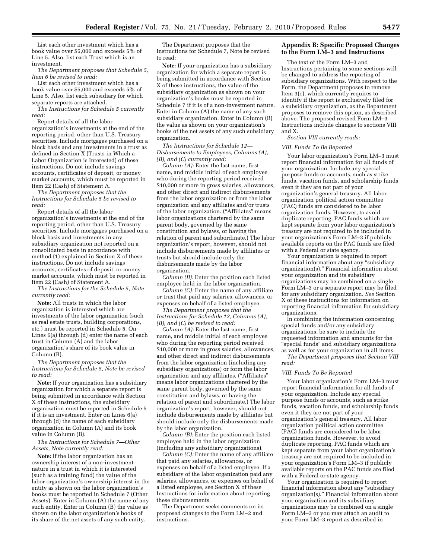List each other investment which has a book value over \$5,000 and exceeds 5% of Line 5. Also, list each Trust which is an investment.

*The Department proposes that Schedule 5, Item 6 be revised to read:* 

List each other investment which has a book value over \$5,000 and exceeds 5% of Line 5. Also, list each subsidiary for which separate reports are attached.

*The Instructions for Schedule 5 currently read:* 

Report details of all the labor organization's investments at the end of the reporting period, other than U.S. Treasury securities. Include mortgages purchased on a block basis and any investments in a trust as defined in Section X (Trusts in Which a Labor Organization is Interested) of these instructions. Do not include savings accounts, certificates of deposit, or money market accounts, which must be reported in Item 22 (Cash) of Statement A.

*The Department proposes that the Instructions for Schedule 5 be revised to read:* 

Report details of all the labor organization's investments at the end of the reporting period, other than U.S. Treasury securities. Include mortgages purchased on a block basis and investments in any subsidiary organization not reported on a consolidated basis in accordance with method (1) explained in Section X of these instructions. Do not include savings accounts, certificates of deposit, or money market accounts, which must be reported in Item 22 (Cash) of Statement A.

*The Instructions for the Schedule 5, Note currently read:* 

**Note:** All trusts in which the labor organization is interested which are investments of the labor organization (such as real estate trusts, building corporations, etc.) must be reported in Schedule 5. On Lines 6(a) through (d) enter the name of each trust in Column (A) and the labor organization's share of its book value in Column (B).

*The Department proposes that the Instructions for Schedule 5, Note be revised to read:* 

**Note:** If your organization has a subsidiary organization for which a separate report is being submitted in accordance with Section X of these instructions, the subsidiary organization must be reported in Schedule 5 if it is an investment. Enter on Lines 6(a) through (d) the name of each subsidiary organization in Column (A) and its book value in Column (B).

*The Instructions for Schedule 7—Other Assets, Note currently read:* 

**Note:** If the labor organization has an ownership interest of a non-investment nature in a trust in which it is interested (such as a training fund) the value of the labor organization's ownership interest in the entity as shown on the labor organization's books must be reported in Schedule 7 (Other Assets). Enter in Column (A) the name of any such entity. Enter in Column (B) the value as shown on the labor organization's books of its share of the net assets of any such entity.

The Department proposes that the Instructions for Schedule 7, Note be revised to read:

**Note:** If your organization has a subsidiary organization for which a separate report is being submitted in accordance with Section X of these instructions, the value of the subsidiary organization as shown on your organization's books must be reported in Schedule 7 if it is of a non-investment nature. Enter in Column (A) the name of any such subsidiary organization. Enter in Column (B) the value as shown on your organization's books of the net assets of any such subsidiary organization.

*The Instructions for Schedule 12— Disbursements to Employees, Columns (A), (B), and (C) currently read:* 

*Column (A):* Enter the last name, first name, and middle initial of each employee who during the reporting period received \$10,000 or more in gross salaries, allowances, and other direct and indirect disbursements from the labor organization or from the labor organization and any affiliates and/or trusts of the labor organization. (''Affiliates'' means labor organizations chartered by the same parent body, governed by the same constitution and bylaws, or having the relation of parent and subordinate.) The labor organization's report, however, should not include disbursements made by affiliates or trusts but should include only the disbursements made by the labor organization.

*Column (B):* Enter the position each listed employee held in the labor organization.

*Column (C):* Enter the name of any affiliate or trust that paid any salaries, allowances, or expenses on behalf of a listed employee.

*The Department proposes that the Instructions for Schedule 12, Columns (A), (B), and (C) be revised to read:* 

*Column (A):* Enter the last name, first name, and middle initial of each employee who during the reporting period received \$10,000 or more in gross salaries, allowances, and other direct and indirect disbursements from the labor organization (including any subsidiary organizations) or form the labor organization and any affiliates. (''Affiliates'' means labor organizations chartered by the same parent body, governed by the same constitution and bylaws, or having the relation of parent and subordinate.) The labor organization's report, however, should not include disbursements made by affiliates but should include only the disbursements made by the labor organization.

*Column (B):* Enter the position each listed employee held in the labor organization (including any subsidiary organizations).

*Column (C):* Enter the name of any affiliate that paid any salaries, allowances, or expenses on behalf of a listed employee. If a subsidiary of the labor organization paid any salaries, allowances, or expenses on behalf of a listed employee, see Section X of these Instructions for information about reporting these disbursements.

The Department seeks comments on its proposed changes to the Form LM–2 and instructions.

#### **Appendix B: Specific Proposed Changes to the Form LM–3 and Instructions**

The text of the Form LM–3 and Instructions pertaining to some sections will be changed to address the reporting of subsidiary organizations. With respect to the Form, the Department proposes to remove Item 3(c), which currently requires to identify if the report is exclusively filed for a subsidiary organization, as the Department proposes to remove this option, as described above. The proposed revised Form LM–3 Instructions include changes to sections VIII and X.

*Section VIII currently reads:* 

#### *VIII. Funds To Be Reported*

Your labor organization's Form LM–3 must report financial information for all funds of your organization. Include any special purpose funds or accounts, such as strike funds, vacation funds, and scholarship funds even it they are not part of your organization's general treasury. All labor organization political action committee (PAC) funds are considered to be labor organization funds. However, to avoid duplicate reporting, PAC funds which are kept separate from your labor organization's treasury are not required to be included in your organization's Form LM–3 if publicly available reports on the PAC funds are filed with a Federal or state agency.

Your organization is required to report financial information about any ''subsidiary organization(s).'' Financial information about your organization and its subsidiary organizations may be combined on a single Form LM–3 or a separate report may be filed for any subsidiary organization. *See* Section X of these instructions for information on reporting financial information for subsidiary organizations.

In combining the information concerning special funds and/or any subsidiary organizations, be sure to include the requested information and amounts for the ''special funds'' and subsidiary organizations as well as for your organization in all items.

*The Department proposes that Section VIII read:* 

#### *VIII. Funds To Be Reported*

Your labor organization's Form LM–3 must report financial information for all funds of your organization. Include any special purpose funds or accounts, such as strike funds, vacation funds, and scholarship funds even it they are not part of your organization's general treasury. All labor organization political action committee (PAC) funds are considered to be labor organization funds. However, to avoid duplicate reporting, PAC funds which are kept separate from your labor organization's treasury are not required to be included in your organization's Form LM–3 if publicly available reports on the PAC funds are filed with a Federal or state agency.

Your organization is required to report financial information about any ''subsidiary organization(s).'' Financial information about your organization and its subsidiary organizations may be combined on a single Form LM–3 or you may attach an audit to your Form LM–3 report as described in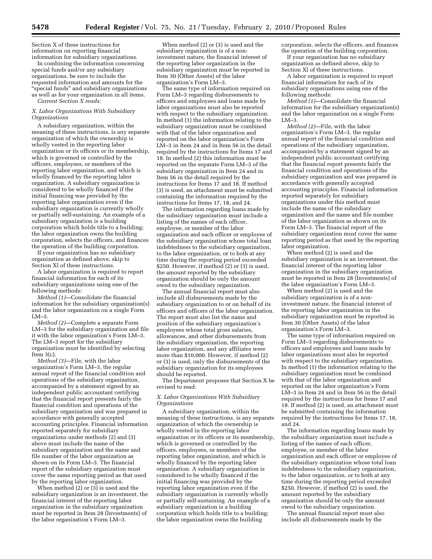Section X of these instructions for information on reporting financial information for subsidiary organizations.

In combining the information concerning special funds and/or any subsidiary organizations, be sure to include the requested information and amounts for the ''special funds'' and subsidiary organizations as well as for your organization in all items. *Current Section X reads:* 

*X. Labor Organizations With Subsidiary Organizations* 

A subsidiary organization, within the meaning of these instructions, is any separate organization of which the ownership is wholly vested in the reporting labor organization or its officers or its membership, which is governed or controlled by the officers, employees, or members of the reporting labor organization, and which is wholly financed by the reporting labor organization. A subsidiary organization is considered to be wholly financed if the initial financing was provided by the reporting labor organization even if the subsidiary organization is currently wholly or partially self-sustaining. An example of a subsidiary organization is a building corporation which holds title to a building; the labor organization owns the building corporation, selects the officers, and finances the operation of the building corporation.

If your organization has no subsidiary organization as defined above, skip to Section Xl of these instructions.

A labor organization is required to report financial information for each of its subsidiary organizations using one of the following methods:

*Method (1)*—Consolidate the financial information for the subsidiary organization(s) and the labor organization on a single Form LM–3.

*Method (2)*—Complete a separate Form LM–3 for the subsidiary organization and file it with the labor organization's Form LM–3. The LM–3 report for the subsidiary organization must be identified by selecting Item 3(c).

*Method (3)*—File, with the labor organization's Form LM–3, the regular annual report of the financial condition and operations of the subsidiary organization, accompanied by a statement signed by an independent public accountant certifying that the financial report presents fairly the financial condition and operations of the subsidiary organization and was prepared in accordance with generally accepted accounting principles. Financial information reported separately for subsidiary organizations under methods (2) and (3) above must include the name of the subsidiary organization and the name and file number of the labor organization as shown on its Form LM–3. The financial report of the subsidiary organization must cover the same reporting period as that used by the reporting labor organization.

When  $\overline{\text{method}}(2)$  or  $\overline{(3)}$  is used and the subsidiary organization is an investment, the financial interest of the reporting labor organization in the subsidiary organization must be reported in Item 28 (Investments) of the labor organization's Form LM–3.

When method (2) or (3) is used and the subsidiary organization is of a noninvestment nature, the financial interest of the reporting labor organization in the subsidiary organization must be reported in Item 30 (Other Assets) of the labor organization's Form LM–3.

The same type of information required on Form LM–3 regarding disbursements to officers and employees and loans made by labor organizations must also be reported with respect to the subsidiary organization. In method (1) the information relating to the subsidiary organization must be combined with that of the labor organization and reported on the labor organization's Form LM–3 in Item 24 and in Item 56 in the detail required by the instructions for Items 17 and 18. In method (2) this information must be reported on the separate Form LM–3 of the subsidiary organization in Item 24 and in Item 56 in the detail required by the instructions for Items 17 and 18. If method (3) is used, an attachment must be submitted containing the information required by the instructions for Items 17, 18, and 24.

The information regarding loans made by the subsidiary organization must include a listing of the names of each officer, employee, or member of the labor organization and each officer or employee of the subsidiary organization whose total loan indebtedness to the subsidiary organization, to the labor organization, or to both at any time during the reporting period exceeded \$250. However, if method (2) or (3) is used, the amount reported by the subsidiary organization should be only the amount owed to the subsidiary organization.

The annual financial report must also include all disbursements made by the subsidiary organization to or on behalf of its officers and officers of the labor organization. The report must also list the name and position of the subsidiary organization's employees whose total gross salaries, allowances, and other disbursements from the subsidiary organization, the reporting labor organization, and any affiliates were more than \$10,000. However, if method (2) or (3) is used, only the disbursements of the subsidiary organization for its employees should be reported.

The Department proposes that Section X be revised to read:

#### *X. Labor Organizations With Subsidiary Organizations*

A subsidiary organization, within the meaning of these instructions, is any separate organization of which the ownership is wholly vested in the reporting labor organization or its officers or its membership, which is governed or controlled by the officers, employees, or members of the reporting labor organization, and which is wholly financed by the reporting labor organization. A subsidiary organization is considered to be wholly financed if the initial financing was provided by the reporting labor organization even if the subsidiary organization is currently wholly or partially self-sustaining. An example of a subsidiary organization is a building corporation which holds title to a building; the labor organization owns the building

corporation, selects the officers, and finances the operation of the building corporation.

If your organization has no subsidiary organization as defined above, skip to Section Xl of these instructions.

A labor organization is required to report financial information for each of its subsidiary organizations using one of the following methods:

*Method (1)*—Consolidate the financial information for the subsidiary organization(s) and the labor organization on a single Form  $LM=3$ 

*Method (2)*—File, with the labor organization's Form LM–3, the regular annual report of the financial condition and operations of the subsidiary organization, accompanied by a statement signed by an independent public accountant certifying that the financial report presents fairly the financial condition and operations of the subsidiary organization and was prepared in accordance with generally accepted accounting principles. Financial information reported separately for subsidiary organizations under this method must include the name of the subsidiary organization and the name and file number of the labor organization as shown on its Form LM–3. The financial report of the subsidiary organization must cover the same reporting period as that used by the reporting labor organization.

When method (2) is used and the subsidiary organization is an investment, the financial interest of the reporting labor organization in the subsidiary organization must be reported in Item 28 (Investments) of the labor organization's Form LM–3.

When method (2) is used and the subsidiary organization is of a noninvestment nature, the financial interest of the reporting labor organization in the subsidiary organization must be reported in Item 30 (Other Assets) of the labor organization's Form LM–3.

The same type of information required on Form LM–3 regarding disbursements to officers and employees and loans made by labor organizations must also be reported with respect to the subsidiary organization. In method (1) the information relating to the subsidiary organization must be combined with that of the labor organization and reported on the labor organization's Form LM–3 in Item 24 and in Item 56 in the detail required by the instructions for Items 17 and 18. If method (2) is used, an attachment must be submitted containing the information required by the instructions for Items 17, 18, and 24.

The information regarding loans made by the subsidiary organization must include a listing of the names of each officer, employee, or member of the labor organization and each officer or employee of the subsidiary organization whose total loan indebtedness to the subsidiary organization, to the labor organization, or to both at any time during the reporting period exceeded \$250. However, if method (2) is used, the amount reported by the subsidiary organization should be only the amount owed to the subsidiary organization.

The annual financial report must also include all disbursements made by the